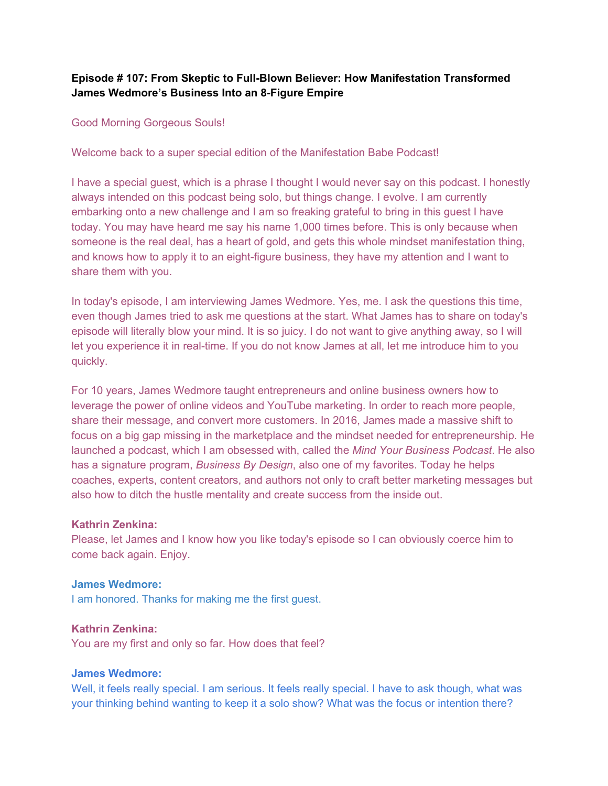## **Episode # 107: From Skeptic to Full-Blown Believer: How Manifestation Transformed James Wedmore's Business Into an 8-Figure Empire**

## Good Morning Gorgeous Souls!

Welcome back to a super special edition of the Manifestation Babe Podcast!

I have a special guest, which is a phrase I thought I would never say on this podcast. I honestly always intended on this podcast being solo, but things change. I evolve. I am currently embarking onto a new challenge and I am so freaking grateful to bring in this guest I have today. You may have heard me say his name 1,000 times before. This is only because when someone is the real deal, has a heart of gold, and gets this whole mindset manifestation thing, and knows how to apply it to an eight-figure business, they have my attention and I want to share them with you.

In today's episode, I am interviewing James Wedmore. Yes, me. I ask the questions this time, even though James tried to ask me questions at the start. What James has to share on today's episode will literally blow your mind. It is so juicy. I do not want to give anything away, so I will let you experience it in real-time. If you do not know James at all, let me introduce him to you quickly.

For 10 years, James Wedmore taught entrepreneurs and online business owners how to leverage the power of online videos and YouTube marketing. In order to reach more people, share their message, and convert more customers. In 2016, James made a massive shift to focus on a big gap missing in the marketplace and the mindset needed for entrepreneurship. He launched a podcast, which I am obsessed with, called the *Mind Your Business Podcast*. He also has a signature program, *Business By Design*, also one of my favorites. Today he helps coaches, experts, content creators, and authors not only to craft better marketing messages but also how to ditch the hustle mentality and create success from the inside out.

#### **Kathrin Zenkina:**

Please, let James and I know how you like today's episode so I can obviously coerce him to come back again. Enjoy.

#### **James Wedmore:**

I am honored. Thanks for making me the first guest.

## **Kathrin Zenkina:**

You are my first and only so far. How does that feel?

#### **James Wedmore:**

Well, it feels really special. I am serious. It feels really special. I have to ask though, what was your thinking behind wanting to keep it a solo show? What was the focus or intention there?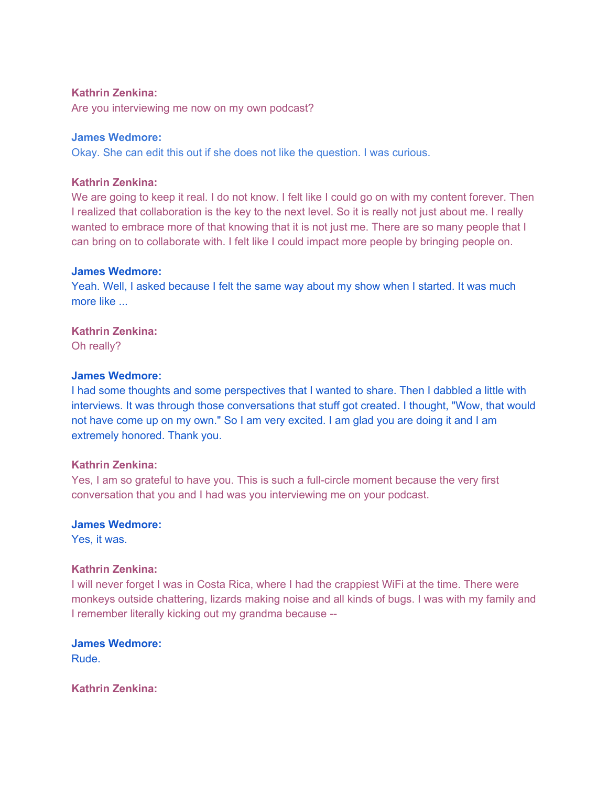## **Kathrin Zenkina:**

Are you interviewing me now on my own podcast?

## **James Wedmore:**

Okay. She can edit this out if she does not like the question. I was curious.

## **Kathrin Zenkina:**

We are going to keep it real. I do not know. I felt like I could go on with my content forever. Then I realized that collaboration is the key to the next level. So it is really not just about me. I really wanted to embrace more of that knowing that it is not just me. There are so many people that I can bring on to collaborate with. I felt like I could impact more people by bringing people on.

#### **James Wedmore:**

Yeah. Well, I asked because I felt the same way about my show when I started. It was much more like ...

**Kathrin Zenkina:** 

Oh really?

#### **James Wedmore:**

I had some thoughts and some perspectives that I wanted to share. Then I dabbled a little with interviews. It was through those conversations that stuff got created. I thought, "Wow, that would not have come up on my own." So I am very excited. I am glad you are doing it and I am extremely honored. Thank you.

## **Kathrin Zenkina:**

Yes, I am so grateful to have you. This is such a full-circle moment because the very first conversation that you and I had was you interviewing me on your podcast.

#### **James Wedmore:**

Yes, it was.

#### **Kathrin Zenkina:**

I will never forget I was in Costa Rica, where I had the crappiest WiFi at the time. There were monkeys outside chattering, lizards making noise and all kinds of bugs. I was with my family and I remember literally kicking out my grandma because --

**James Wedmore:**  Rude.

**Kathrin Zenkina:**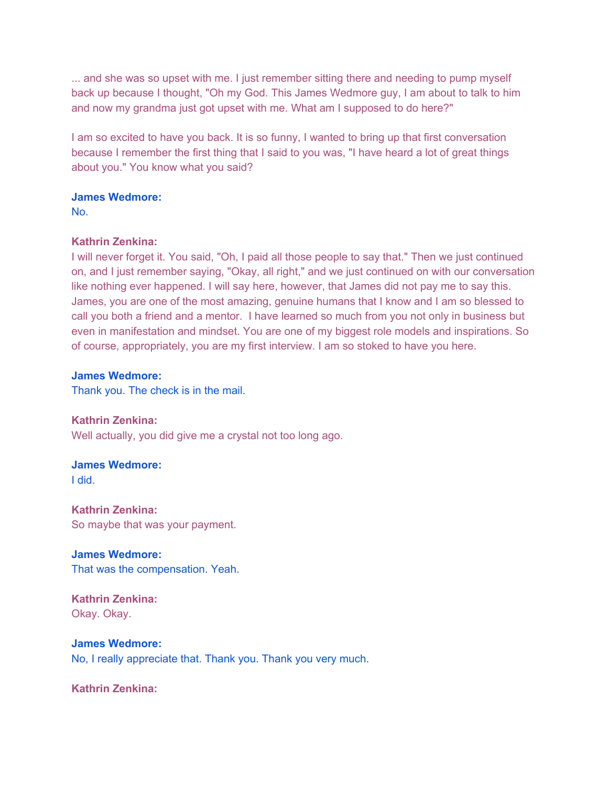... and she was so upset with me. I just remember sitting there and needing to pump myself back up because I thought, "Oh my God. This James Wedmore guy, I am about to talk to him and now my grandma just got upset with me. What am I supposed to do here?"

I am so excited to have you back. It is so funny, I wanted to bring up that first conversation because I remember the first thing that I said to you was, "I have heard a lot of great things about you." You know what you said?

## **James Wedmore:**

No.

## **Kathrin Zenkina:**

I will never forget it. You said, "Oh, I paid all those people to say that." Then we just continued on, and I just remember saying, "Okay, all right," and we just continued on with our conversation like nothing ever happened. I will say here, however, that James did not pay me to say this. James, you are one of the most amazing, genuine humans that I know and I am so blessed to call you both a friend and a mentor. I have learned so much from you not only in business but even in manifestation and mindset. You are one of my biggest role models and inspirations. So of course, appropriately, you are my first interview. I am so stoked to have you here.

## **James Wedmore:**

Thank you. The check is in the mail.

**Kathrin Zenkina:**  Well actually, you did give me a crystal not too long ago.

# **James Wedmore:**

I did.

**Kathrin Zenkina:**  So maybe that was your payment.

**James Wedmore:**  That was the compensation. Yeah.

**Kathrin Zenkina:**  Okay. Okay.

## **James Wedmore:**

No, I really appreciate that. Thank you. Thank you very much.

**Kathrin Zenkina:**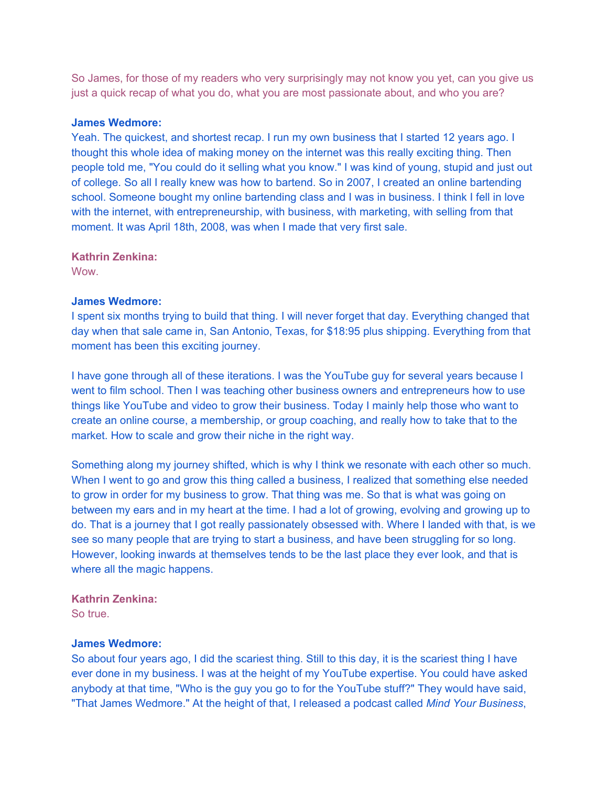So James, for those of my readers who very surprisingly may not know you yet, can you give us just a quick recap of what you do, what you are most passionate about, and who you are?

#### **James Wedmore:**

Yeah. The quickest, and shortest recap. I run my own business that I started 12 years ago. I thought this whole idea of making money on the internet was this really exciting thing. Then people told me, "You could do it selling what you know." I was kind of young, stupid and just out of college. So all I really knew was how to bartend. So in 2007, I created an online bartending school. Someone bought my online bartending class and I was in business. I think I fell in love with the internet, with entrepreneurship, with business, with marketing, with selling from that moment. It was April 18th, 2008, was when I made that very first sale.

**Kathrin Zenkina:** 

**Wow.** 

## **James Wedmore:**

I spent six months trying to build that thing. I will never forget that day. Everything changed that day when that sale came in, San Antonio, Texas, for \$18:95 plus shipping. Everything from that moment has been this exciting journey.

I have gone through all of these iterations. I was the YouTube guy for several years because I went to film school. Then I was teaching other business owners and entrepreneurs how to use things like YouTube and video to grow their business. Today I mainly help those who want to create an online course, a membership, or group coaching, and really how to take that to the market. How to scale and grow their niche in the right way.

Something along my journey shifted, which is why I think we resonate with each other so much. When I went to go and grow this thing called a business, I realized that something else needed to grow in order for my business to grow. That thing was me. So that is what was going on between my ears and in my heart at the time. I had a lot of growing, evolving and growing up to do. That is a journey that I got really passionately obsessed with. Where I landed with that, is we see so many people that are trying to start a business, and have been struggling for so long. However, looking inwards at themselves tends to be the last place they ever look, and that is where all the magic happens.

## **Kathrin Zenkina:**

So true.

## **James Wedmore:**

So about four years ago, I did the scariest thing. Still to this day, it is the scariest thing I have ever done in my business. I was at the height of my YouTube expertise. You could have asked anybody at that time, "Who is the guy you go to for the YouTube stuff?" They would have said, "That James Wedmore." At the height of that, I released a podcast called *Mind Your Business*,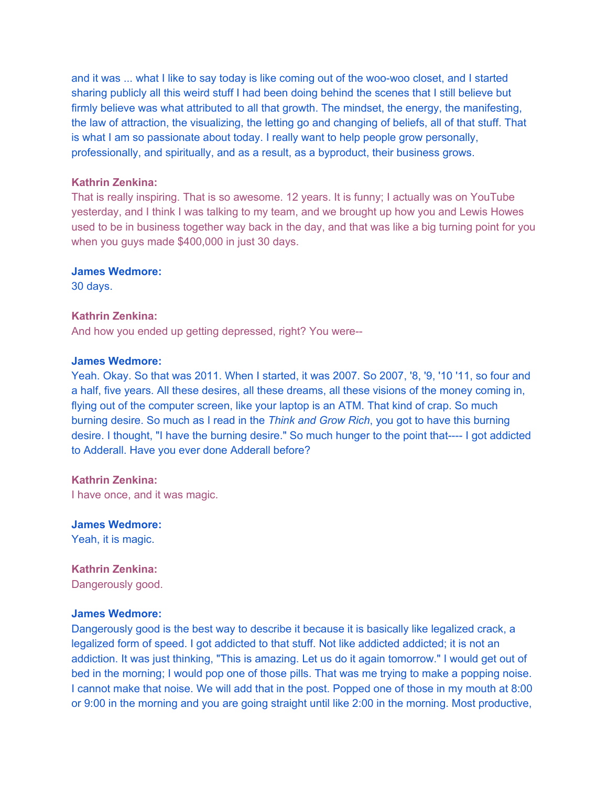and it was ... what I like to say today is like coming out of the woo-woo closet, and I started sharing publicly all this weird stuff I had been doing behind the scenes that I still believe but firmly believe was what attributed to all that growth. The mindset, the energy, the manifesting, the law of attraction, the visualizing, the letting go and changing of beliefs, all of that stuff. That is what I am so passionate about today. I really want to help people grow personally, professionally, and spiritually, and as a result, as a byproduct, their business grows.

#### **Kathrin Zenkina:**

That is really inspiring. That is so awesome. 12 years. It is funny; I actually was on YouTube yesterday, and I think I was talking to my team, and we brought up how you and Lewis Howes used to be in business together way back in the day, and that was like a big turning point for you when you guys made \$400,000 in just 30 days.

#### **James Wedmore:**

30 days.

#### **Kathrin Zenkina:**

And how you ended up getting depressed, right? You were--

## **James Wedmore:**

Yeah. Okay. So that was 2011. When I started, it was 2007. So 2007, '8, '9, '10 '11, so four and a half, five years. All these desires, all these dreams, all these visions of the money coming in, flying out of the computer screen, like your laptop is an ATM. That kind of crap. So much burning desire. So much as I read in the *Think and Grow Rich*, you got to have this burning desire. I thought, "I have the burning desire." So much hunger to the point that---- I got addicted to Adderall. Have you ever done Adderall before?

**Kathrin Zenkina:**  I have once, and it was magic.

**James Wedmore:**  Yeah, it is magic.

**Kathrin Zenkina:**  Dangerously good.

#### **James Wedmore:**

Dangerously good is the best way to describe it because it is basically like legalized crack, a legalized form of speed. I got addicted to that stuff. Not like addicted addicted; it is not an addiction. It was just thinking, "This is amazing. Let us do it again tomorrow." I would get out of bed in the morning; I would pop one of those pills. That was me trying to make a popping noise. I cannot make that noise. We will add that in the post. Popped one of those in my mouth at 8:00 or 9:00 in the morning and you are going straight until like 2:00 in the morning. Most productive,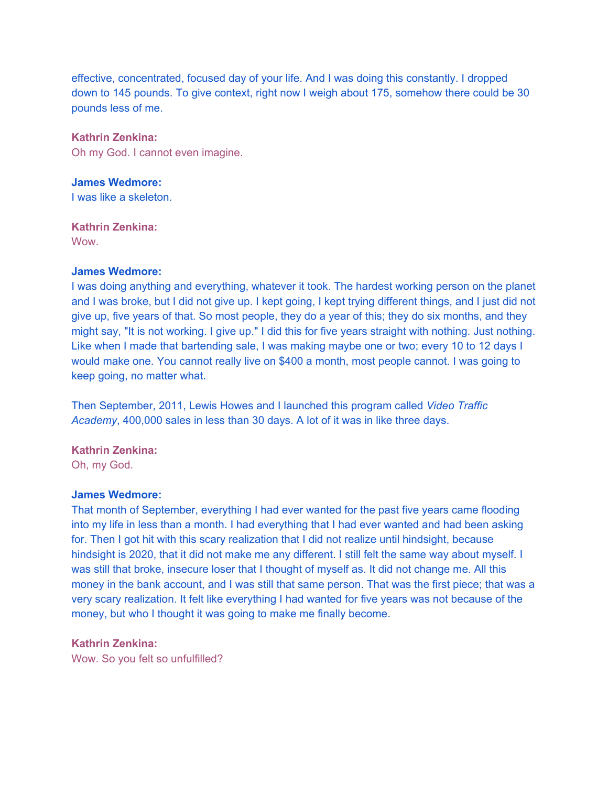effective, concentrated, focused day of your life. And I was doing this constantly. I dropped down to 145 pounds. To give context, right now I weigh about 175, somehow there could be 30 pounds less of me.

**Kathrin Zenkina:**  Oh my God. I cannot even imagine.

**James Wedmore:**  I was like a skeleton.

**Kathrin Zenkina:**  Wow.

## **James Wedmore:**

I was doing anything and everything, whatever it took. The hardest working person on the planet and I was broke, but I did not give up. I kept going, I kept trying different things, and I just did not give up, five years of that. So most people, they do a year of this; they do six months, and they might say, "It is not working. I give up." I did this for five years straight with nothing. Just nothing. Like when I made that bartending sale, I was making maybe one or two; every 10 to 12 days I would make one. You cannot really live on \$400 a month, most people cannot. I was going to keep going, no matter what.

Then September, 2011, Lewis Howes and I launched this program called *Video Traffic Academy*, 400,000 sales in less than 30 days. A lot of it was in like three days.

**Kathrin Zenkina:** 

Oh, my God.

#### **James Wedmore:**

That month of September, everything I had ever wanted for the past five years came flooding into my life in less than a month. I had everything that I had ever wanted and had been asking for. Then I got hit with this scary realization that I did not realize until hindsight, because hindsight is 2020, that it did not make me any different. I still felt the same way about myself. I was still that broke, insecure loser that I thought of myself as. It did not change me. All this money in the bank account, and I was still that same person. That was the first piece; that was a very scary realization. It felt like everything I had wanted for five years was not because of the money, but who I thought it was going to make me finally become.

## **Kathrin Zenkina:**

Wow. So you felt so unfulfilled?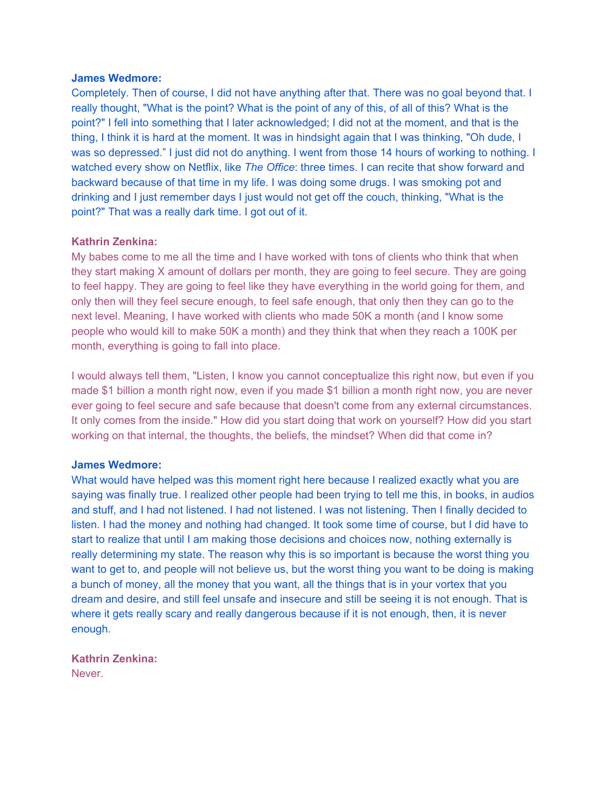Completely. Then of course, I did not have anything after that. There was no goal beyond that. I really thought, "What is the point? What is the point of any of this, of all of this? What is the point?" I fell into something that I later acknowledged; I did not at the moment, and that is the thing, I think it is hard at the moment. It was in hindsight again that I was thinking, "Oh dude, I was so depressed." I just did not do anything. I went from those 14 hours of working to nothing. I watched every show on Netflix, like *The Office*: three times. I can recite that show forward and backward because of that time in my life. I was doing some drugs. I was smoking pot and drinking and I just remember days I just would not get off the couch, thinking, "What is the point?" That was a really dark time. I got out of it.

## **Kathrin Zenkina:**

My babes come to me all the time and I have worked with tons of clients who think that when they start making X amount of dollars per month, they are going to feel secure. They are going to feel happy. They are going to feel like they have everything in the world going for them, and only then will they feel secure enough, to feel safe enough, that only then they can go to the next level. Meaning, I have worked with clients who made 50K a month (and I know some people who would kill to make 50K a month) and they think that when they reach a 100K per month, everything is going to fall into place.

I would always tell them, "Listen, I know you cannot conceptualize this right now, but even if you made \$1 billion a month right now, even if you made \$1 billion a month right now, you are never ever going to feel secure and safe because that doesn't come from any external circumstances. It only comes from the inside." How did you start doing that work on yourself? How did you start working on that internal, the thoughts, the beliefs, the mindset? When did that come in?

#### **James Wedmore:**

What would have helped was this moment right here because I realized exactly what you are saying was finally true. I realized other people had been trying to tell me this, in books, in audios and stuff, and I had not listened. I had not listened. I was not listening. Then I finally decided to listen. I had the money and nothing had changed. It took some time of course, but I did have to start to realize that until I am making those decisions and choices now, nothing externally is really determining my state. The reason why this is so important is because the worst thing you want to get to, and people will not believe us, but the worst thing you want to be doing is making a bunch of money, all the money that you want, all the things that is in your vortex that you dream and desire, and still feel unsafe and insecure and still be seeing it is not enough. That is where it gets really scary and really dangerous because if it is not enough, then, it is never enough.

## **Kathrin Zenkina:**

Never.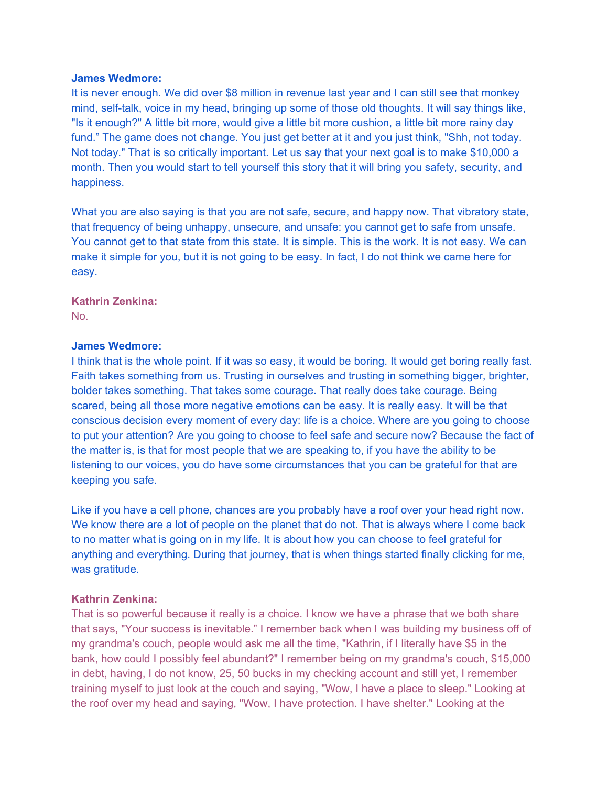It is never enough. We did over \$8 million in revenue last year and I can still see that monkey mind, self-talk, voice in my head, bringing up some of those old thoughts. It will say things like, "Is it enough?" A little bit more, would give a little bit more cushion, a little bit more rainy day fund." The game does not change. You just get better at it and you just think, "Shh, not today. Not today." That is so critically important. Let us say that your next goal is to make \$10,000 a month. Then you would start to tell yourself this story that it will bring you safety, security, and happiness.

What you are also saying is that you are not safe, secure, and happy now. That vibratory state, that frequency of being unhappy, unsecure, and unsafe: you cannot get to safe from unsafe. You cannot get to that state from this state. It is simple. This is the work. It is not easy. We can make it simple for you, but it is not going to be easy. In fact, I do not think we came here for easy.

## **Kathrin Zenkina:**

No.

## **James Wedmore:**

I think that is the whole point. If it was so easy, it would be boring. It would get boring really fast. Faith takes something from us. Trusting in ourselves and trusting in something bigger, brighter, bolder takes something. That takes some courage. That really does take courage. Being scared, being all those more negative emotions can be easy. It is really easy. It will be that conscious decision every moment of every day: life is a choice. Where are you going to choose to put your attention? Are you going to choose to feel safe and secure now? Because the fact of the matter is, is that for most people that we are speaking to, if you have the ability to be listening to our voices, you do have some circumstances that you can be grateful for that are keeping you safe.

Like if you have a cell phone, chances are you probably have a roof over your head right now. We know there are a lot of people on the planet that do not. That is always where I come back to no matter what is going on in my life. It is about how you can choose to feel grateful for anything and everything. During that journey, that is when things started finally clicking for me, was gratitude.

## **Kathrin Zenkina:**

That is so powerful because it really is a choice. I know we have a phrase that we both share that says, "Your success is inevitable." I remember back when I was building my business off of my grandma's couch, people would ask me all the time, "Kathrin, if I literally have \$5 in the bank, how could I possibly feel abundant?" I remember being on my grandma's couch, \$15,000 in debt, having, I do not know, 25, 50 bucks in my checking account and still yet, I remember training myself to just look at the couch and saying, "Wow, I have a place to sleep." Looking at the roof over my head and saying, "Wow, I have protection. I have shelter." Looking at the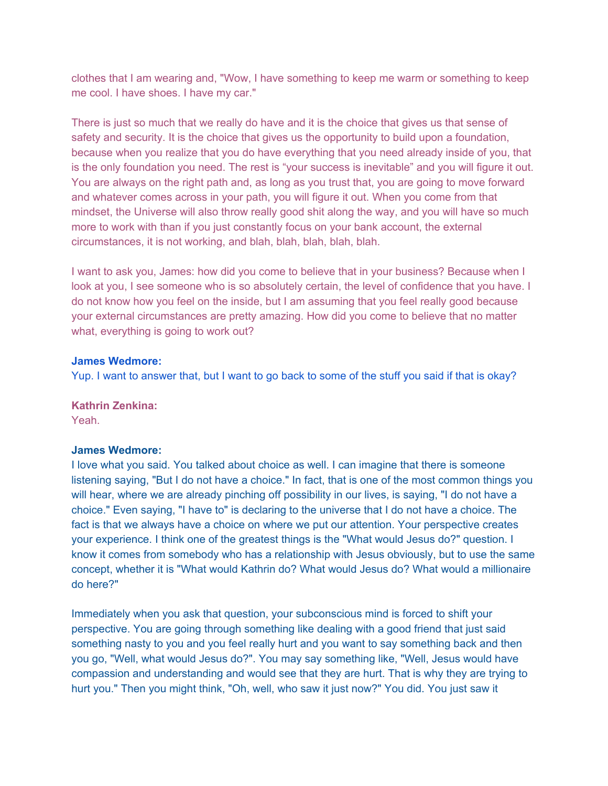clothes that I am wearing and, "Wow, I have something to keep me warm or something to keep me cool. I have shoes. I have my car."

There is just so much that we really do have and it is the choice that gives us that sense of safety and security. It is the choice that gives us the opportunity to build upon a foundation, because when you realize that you do have everything that you need already inside of you, that is the only foundation you need. The rest is "your success is inevitable" and you will figure it out. You are always on the right path and, as long as you trust that, you are going to move forward and whatever comes across in your path, you will figure it out. When you come from that mindset, the Universe will also throw really good shit along the way, and you will have so much more to work with than if you just constantly focus on your bank account, the external circumstances, it is not working, and blah, blah, blah, blah, blah.

I want to ask you, James: how did you come to believe that in your business? Because when I look at you, I see someone who is so absolutely certain, the level of confidence that you have. I do not know how you feel on the inside, but I am assuming that you feel really good because your external circumstances are pretty amazing. How did you come to believe that no matter what, everything is going to work out?

## **James Wedmore:**

Yup. I want to answer that, but I want to go back to some of the stuff you said if that is okay?

## **Kathrin Zenkina:**

Yeah.

## **James Wedmore:**

I love what you said. You talked about choice as well. I can imagine that there is someone listening saying, "But I do not have a choice." In fact, that is one of the most common things you will hear, where we are already pinching off possibility in our lives, is saying, "I do not have a choice." Even saying, "I have to" is declaring to the universe that I do not have a choice. The fact is that we always have a choice on where we put our attention. Your perspective creates your experience. I think one of the greatest things is the "What would Jesus do?" question. I know it comes from somebody who has a relationship with Jesus obviously, but to use the same concept, whether it is "What would Kathrin do? What would Jesus do? What would a millionaire do here?"

Immediately when you ask that question, your subconscious mind is forced to shift your perspective. You are going through something like dealing with a good friend that just said something nasty to you and you feel really hurt and you want to say something back and then you go, "Well, what would Jesus do?". You may say something like, "Well, Jesus would have compassion and understanding and would see that they are hurt. That is why they are trying to hurt you." Then you might think, "Oh, well, who saw it just now?" You did. You just saw it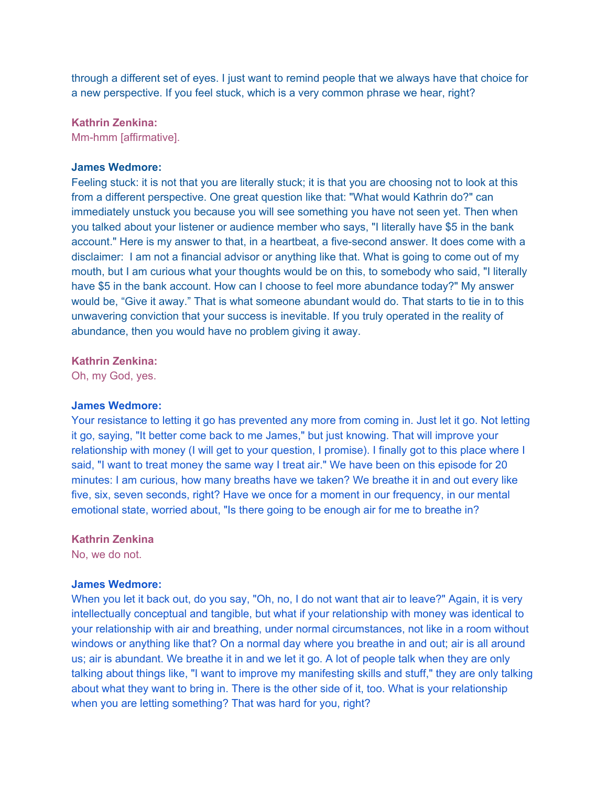through a different set of eyes. I just want to remind people that we always have that choice for a new perspective. If you feel stuck, which is a very common phrase we hear, right?

**Kathrin Zenkina:** 

Mm-hmm [affirmative].

#### **James Wedmore:**

Feeling stuck: it is not that you are literally stuck; it is that you are choosing not to look at this from a different perspective. One great question like that: "What would Kathrin do?" can immediately unstuck you because you will see something you have not seen yet. Then when you talked about your listener or audience member who says, "I literally have \$5 in the bank account." Here is my answer to that, in a heartbeat, a five-second answer. It does come with a disclaimer: I am not a financial advisor or anything like that. What is going to come out of my mouth, but I am curious what your thoughts would be on this, to somebody who said, "I literally have \$5 in the bank account. How can I choose to feel more abundance today?" My answer would be, "Give it away." That is what someone abundant would do. That starts to tie in to this unwavering conviction that your success is inevitable. If you truly operated in the reality of abundance, then you would have no problem giving it away.

## **Kathrin Zenkina:**

Oh, my God, yes.

#### **James Wedmore:**

Your resistance to letting it go has prevented any more from coming in. Just let it go. Not letting it go, saying, "It better come back to me James," but just knowing. That will improve your relationship with money (I will get to your question, I promise). I finally got to this place where I said, "I want to treat money the same way I treat air." We have been on this episode for 20 minutes: I am curious, how many breaths have we taken? We breathe it in and out every like five, six, seven seconds, right? Have we once for a moment in our frequency, in our mental emotional state, worried about, "Is there going to be enough air for me to breathe in?

#### **Kathrin Zenkina**

No, we do not.

#### **James Wedmore:**

When you let it back out, do you say, "Oh, no, I do not want that air to leave?" Again, it is very intellectually conceptual and tangible, but what if your relationship with money was identical to your relationship with air and breathing, under normal circumstances, not like in a room without windows or anything like that? On a normal day where you breathe in and out; air is all around us; air is abundant. We breathe it in and we let it go. A lot of people talk when they are only talking about things like, "I want to improve my manifesting skills and stuff," they are only talking about what they want to bring in. There is the other side of it, too. What is your relationship when you are letting something? That was hard for you, right?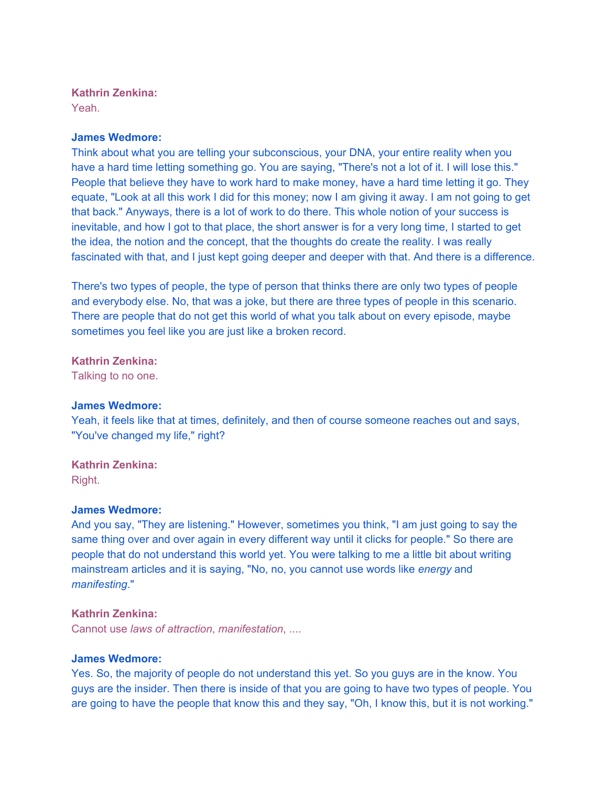## **Kathrin Zenkina:**

Yeah.

## **James Wedmore:**

Think about what you are telling your subconscious, your DNA, your entire reality when you have a hard time letting something go. You are saying, "There's not a lot of it. I will lose this." People that believe they have to work hard to make money, have a hard time letting it go. They equate, "Look at all this work I did for this money; now I am giving it away. I am not going to get that back." Anyways, there is a lot of work to do there. This whole notion of your success is inevitable, and how I got to that place, the short answer is for a very long time, I started to get the idea, the notion and the concept, that the thoughts do create the reality. I was really fascinated with that, and I just kept going deeper and deeper with that. And there is a difference.

There's two types of people, the type of person that thinks there are only two types of people and everybody else. No, that was a joke, but there are three types of people in this scenario. There are people that do not get this world of what you talk about on every episode, maybe sometimes you feel like you are just like a broken record.

**Kathrin Zenkina:** 

Talking to no one.

## **James Wedmore:**

Yeah, it feels like that at times, definitely, and then of course someone reaches out and says, "You've changed my life," right?

## **Kathrin Zenkina:**

Right.

## **James Wedmore:**

And you say, "They are listening." However, sometimes you think, "I am just going to say the same thing over and over again in every different way until it clicks for people." So there are people that do not understand this world yet. You were talking to me a little bit about writing mainstream articles and it is saying, "No, no, you cannot use words like *energy* and *manifesting*."

## **Kathrin Zenkina:**

Cannot use *laws of attraction*, *manifestation*, ....

#### **James Wedmore:**

Yes. So, the majority of people do not understand this yet. So you guys are in the know. You guys are the insider. Then there is inside of that you are going to have two types of people. You are going to have the people that know this and they say, "Oh, I know this, but it is not working."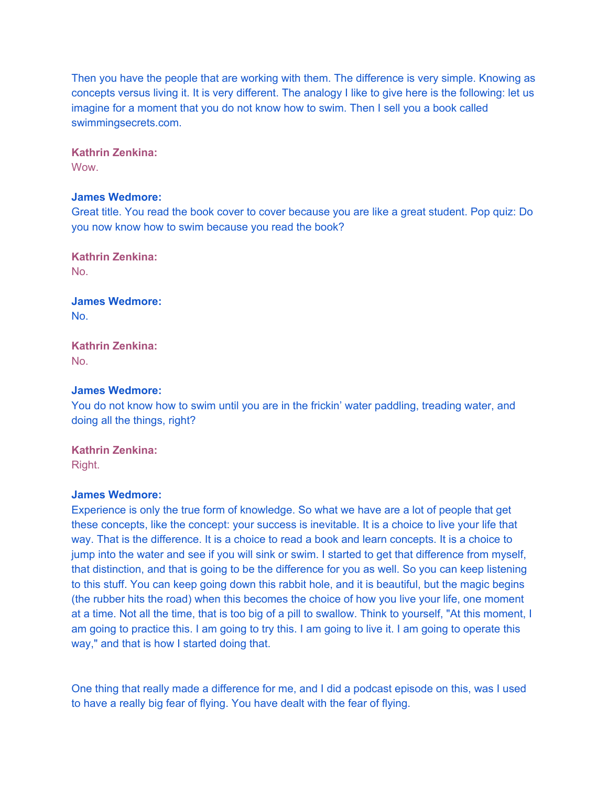Then you have the people that are working with them. The difference is very simple. Knowing as concepts versus living it. It is very different. The analogy I like to give here is the following: let us imagine for a moment that you do not know how to swim. Then I sell you a book called swimmingsecrets.com.

**Kathrin Zenkina:** 

**Wow.** 

## **James Wedmore:**

Great title. You read the book cover to cover because you are like a great student. Pop quiz: Do you now know how to swim because you read the book?

**Kathrin Zenkina:**  No.

**James Wedmore:**  No.

**Kathrin Zenkina:**  No.

## **James Wedmore:**

You do not know how to swim until you are in the frickin' water paddling, treading water, and doing all the things, right?

**Kathrin Zenkina:**  Right.

#### **James Wedmore:**

Experience is only the true form of knowledge. So what we have are a lot of people that get these concepts, like the concept: your success is inevitable. It is a choice to live your life that way. That is the difference. It is a choice to read a book and learn concepts. It is a choice to jump into the water and see if you will sink or swim. I started to get that difference from myself, that distinction, and that is going to be the difference for you as well. So you can keep listening to this stuff. You can keep going down this rabbit hole, and it is beautiful, but the magic begins (the rubber hits the road) when this becomes the choice of how you live your life, one moment at a time. Not all the time, that is too big of a pill to swallow. Think to yourself, "At this moment, I am going to practice this. I am going to try this. I am going to live it. I am going to operate this way," and that is how I started doing that.

One thing that really made a difference for me, and I did a podcast episode on this, was I used to have a really big fear of flying. You have dealt with the fear of flying.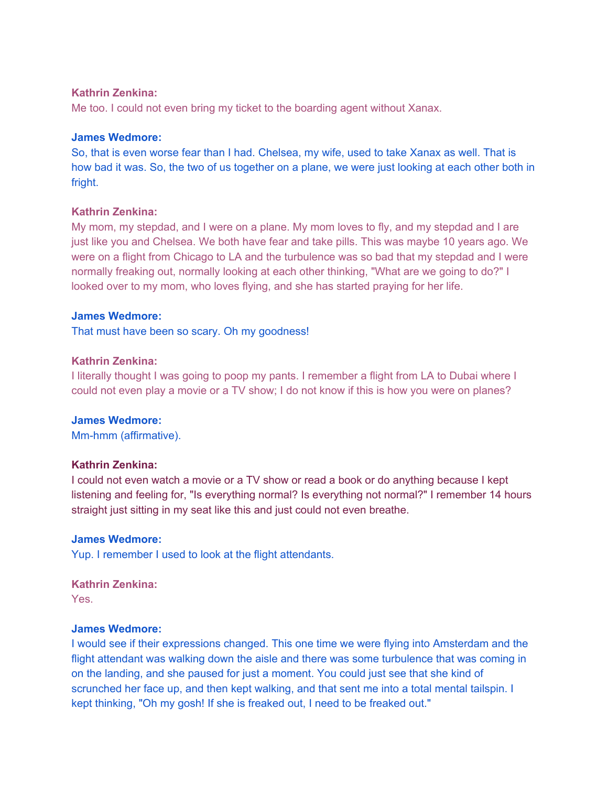## **Kathrin Zenkina:**

Me too. I could not even bring my ticket to the boarding agent without Xanax.

## **James Wedmore:**

So, that is even worse fear than I had. Chelsea, my wife, used to take Xanax as well. That is how bad it was. So, the two of us together on a plane, we were just looking at each other both in fright.

## **Kathrin Zenkina:**

My mom, my stepdad, and I were on a plane. My mom loves to fly, and my stepdad and I are just like you and Chelsea. We both have fear and take pills. This was maybe 10 years ago. We were on a flight from Chicago to LA and the turbulence was so bad that my stepdad and I were normally freaking out, normally looking at each other thinking, "What are we going to do?" I looked over to my mom, who loves flying, and she has started praying for her life.

## **James Wedmore:**

That must have been so scary. Oh my goodness!

## **Kathrin Zenkina:**

I literally thought I was going to poop my pants. I remember a flight from LA to Dubai where I could not even play a movie or a TV show; I do not know if this is how you were on planes?

## **James Wedmore:**

Mm-hmm (affirmative).

## **Kathrin Zenkina:**

I could not even watch a movie or a TV show or read a book or do anything because I kept listening and feeling for, "Is everything normal? Is everything not normal?" I remember 14 hours straight just sitting in my seat like this and just could not even breathe.

## **James Wedmore:**

Yup. I remember I used to look at the flight attendants.

# **Kathrin Zenkina:**

Yes.

#### **James Wedmore:**

I would see if their expressions changed. This one time we were flying into Amsterdam and the flight attendant was walking down the aisle and there was some turbulence that was coming in on the landing, and she paused for just a moment. You could just see that she kind of scrunched her face up, and then kept walking, and that sent me into a total mental tailspin. I kept thinking, "Oh my gosh! If she is freaked out, I need to be freaked out."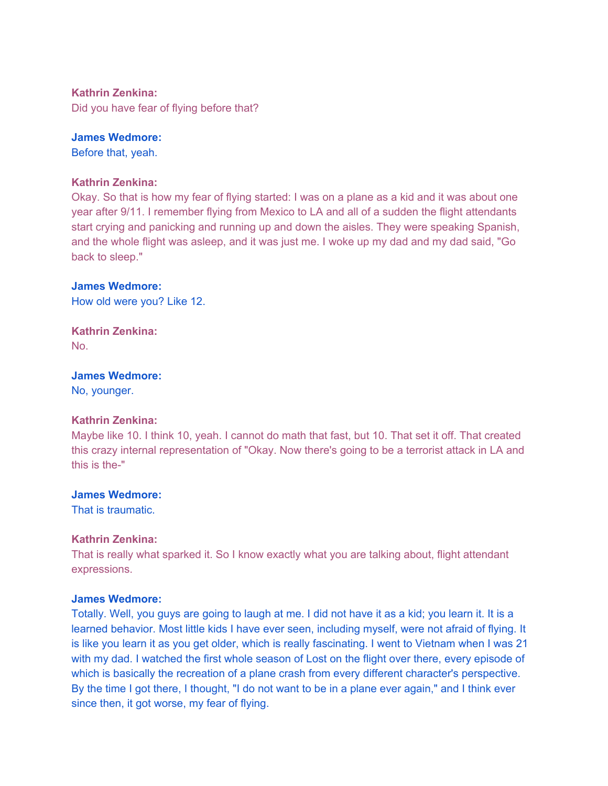## **Kathrin Zenkina:**

Did you have fear of flying before that?

## **James Wedmore:**

Before that, yeah.

#### **Kathrin Zenkina:**

Okay. So that is how my fear of flying started: I was on a plane as a kid and it was about one year after 9/11. I remember flying from Mexico to LA and all of a sudden the flight attendants start crying and panicking and running up and down the aisles. They were speaking Spanish, and the whole flight was asleep, and it was just me. I woke up my dad and my dad said, "Go back to sleep."

#### **James Wedmore:**

How old were you? Like 12.

**Kathrin Zenkina:**  No.

### **James Wedmore:**

No, younger.

## **Kathrin Zenkina:**

Maybe like 10. I think 10, yeah. I cannot do math that fast, but 10. That set it off. That created this crazy internal representation of "Okay. Now there's going to be a terrorist attack in LA and this is the-"

#### **James Wedmore:**

That is traumatic.

#### **Kathrin Zenkina:**

That is really what sparked it. So I know exactly what you are talking about, flight attendant expressions.

#### **James Wedmore:**

Totally. Well, you guys are going to laugh at me. I did not have it as a kid; you learn it. It is a learned behavior. Most little kids I have ever seen, including myself, were not afraid of flying. It is like you learn it as you get older, which is really fascinating. I went to Vietnam when I was 21 with my dad. I watched the first whole season of Lost on the flight over there, every episode of which is basically the recreation of a plane crash from every different character's perspective. By the time I got there, I thought, "I do not want to be in a plane ever again," and I think ever since then, it got worse, my fear of flying.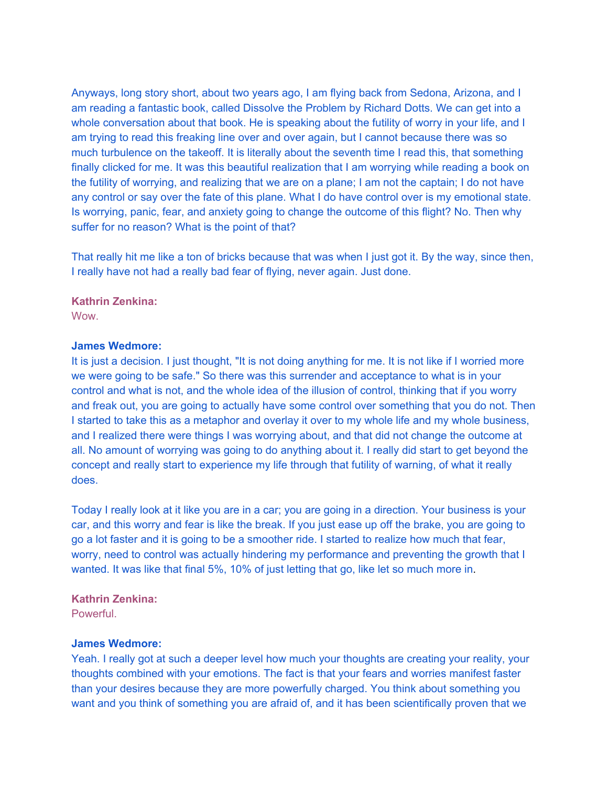Anyways, long story short, about two years ago, I am flying back from Sedona, Arizona, and I am reading a fantastic book, called Dissolve the Problem by Richard Dotts. We can get into a whole conversation about that book. He is speaking about the futility of worry in your life, and I am trying to read this freaking line over and over again, but I cannot because there was so much turbulence on the takeoff. It is literally about the seventh time I read this, that something finally clicked for me. It was this beautiful realization that I am worrying while reading a book on the futility of worrying, and realizing that we are on a plane; I am not the captain; I do not have any control or say over the fate of this plane. What I do have control over is my emotional state. Is worrying, panic, fear, and anxiety going to change the outcome of this flight? No. Then why suffer for no reason? What is the point of that?

That really hit me like a ton of bricks because that was when I just got it. By the way, since then, I really have not had a really bad fear of flying, never again. Just done.

#### **Kathrin Zenkina:**

Wow.

#### **James Wedmore:**

It is just a decision. I just thought, "It is not doing anything for me. It is not like if I worried more we were going to be safe." So there was this surrender and acceptance to what is in your control and what is not, and the whole idea of the illusion of control, thinking that if you worry and freak out, you are going to actually have some control over something that you do not. Then I started to take this as a metaphor and overlay it over to my whole life and my whole business, and I realized there were things I was worrying about, and that did not change the outcome at all. No amount of worrying was going to do anything about it. I really did start to get beyond the concept and really start to experience my life through that futility of warning, of what it really does.

Today I really look at it like you are in a car; you are going in a direction. Your business is your car, and this worry and fear is like the break. If you just ease up off the brake, you are going to go a lot faster and it is going to be a smoother ride. I started to realize how much that fear, worry, need to control was actually hindering my performance and preventing the growth that I wanted. It was like that final 5%, 10% of just letting that go, like let so much more in.

#### **Kathrin Zenkina:**

**Powerful** 

#### **James Wedmore:**

Yeah. I really got at such a deeper level how much your thoughts are creating your reality, your thoughts combined with your emotions. The fact is that your fears and worries manifest faster than your desires because they are more powerfully charged. You think about something you want and you think of something you are afraid of, and it has been scientifically proven that we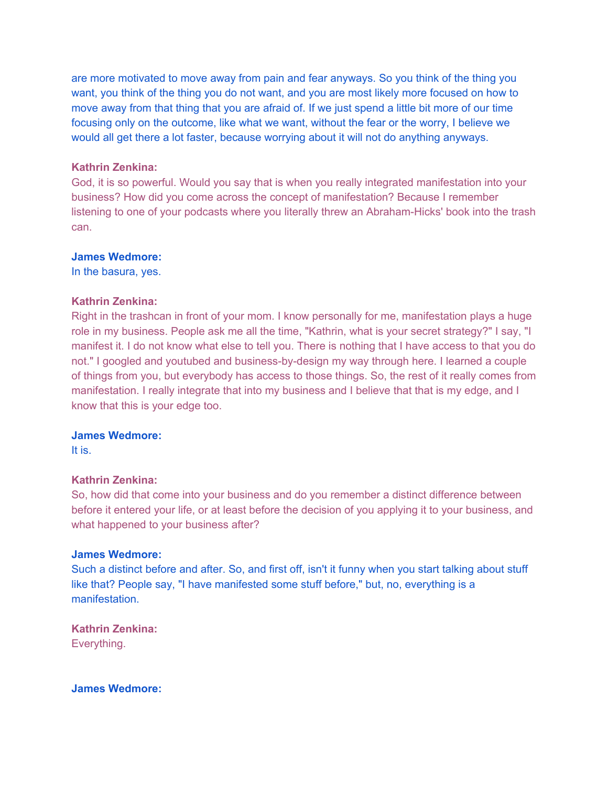are more motivated to move away from pain and fear anyways. So you think of the thing you want, you think of the thing you do not want, and you are most likely more focused on how to move away from that thing that you are afraid of. If we just spend a little bit more of our time focusing only on the outcome, like what we want, without the fear or the worry, I believe we would all get there a lot faster, because worrying about it will not do anything anyways.

### **Kathrin Zenkina:**

God, it is so powerful. Would you say that is when you really integrated manifestation into your business? How did you come across the concept of manifestation? Because I remember listening to one of your podcasts where you literally threw an Abraham-Hicks' book into the trash can.

## **James Wedmore:**

In the basura, yes.

## **Kathrin Zenkina:**

Right in the trashcan in front of your mom. I know personally for me, manifestation plays a huge role in my business. People ask me all the time, "Kathrin, what is your secret strategy?" I say, "I manifest it. I do not know what else to tell you. There is nothing that I have access to that you do not." I googled and youtubed and business-by-design my way through here. I learned a couple of things from you, but everybody has access to those things. So, the rest of it really comes from manifestation. I really integrate that into my business and I believe that that is my edge, and I know that this is your edge too.

#### **James Wedmore:**

It is.

#### **Kathrin Zenkina:**

So, how did that come into your business and do you remember a distinct difference between before it entered your life, or at least before the decision of you applying it to your business, and what happened to your business after?

#### **James Wedmore:**

Such a distinct before and after. So, and first off, isn't it funny when you start talking about stuff like that? People say, "I have manifested some stuff before," but, no, everything is a manifestation.

**Kathrin Zenkina:**  Everything.

**James Wedmore:**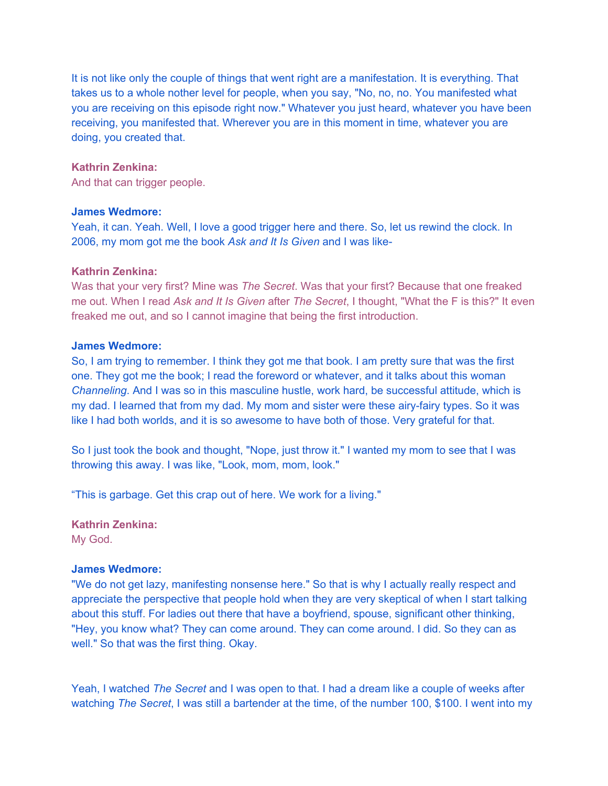It is not like only the couple of things that went right are a manifestation. It is everything. That takes us to a whole nother level for people, when you say, "No, no, no. You manifested what you are receiving on this episode right now." Whatever you just heard, whatever you have been receiving, you manifested that. Wherever you are in this moment in time, whatever you are doing, you created that.

#### **Kathrin Zenkina:**

And that can trigger people.

#### **James Wedmore:**

Yeah, it can. Yeah. Well, I love a good trigger here and there. So, let us rewind the clock. In 2006, my mom got me the book *Ask and It Is Given* and I was like-

#### **Kathrin Zenkina:**

Was that your very first? Mine was *The Secret*. Was that your first? Because that one freaked me out. When I read *Ask and It Is Given* after *The Secret*, I thought, "What the F is this?" It even freaked me out, and so I cannot imagine that being the first introduction.

### **James Wedmore:**

So, I am trying to remember. I think they got me that book. I am pretty sure that was the first one. They got me the book; I read the foreword or whatever, and it talks about this woman *Channeling*. And I was so in this masculine hustle, work hard, be successful attitude, which is my dad. I learned that from my dad. My mom and sister were these airy-fairy types. So it was like I had both worlds, and it is so awesome to have both of those. Very grateful for that.

So I just took the book and thought, "Nope, just throw it." I wanted my mom to see that I was throwing this away. I was like, "Look, mom, mom, look."

"This is garbage. Get this crap out of here. We work for a living."

## **Kathrin Zenkina:**

My God.

#### **James Wedmore:**

"We do not get lazy, manifesting nonsense here." So that is why I actually really respect and appreciate the perspective that people hold when they are very skeptical of when I start talking about this stuff. For ladies out there that have a boyfriend, spouse, significant other thinking, "Hey, you know what? They can come around. They can come around. I did. So they can as well." So that was the first thing. Okay.

Yeah, I watched *The Secret* and I was open to that. I had a dream like a couple of weeks after watching *The Secret*, I was still a bartender at the time, of the number 100, \$100. I went into my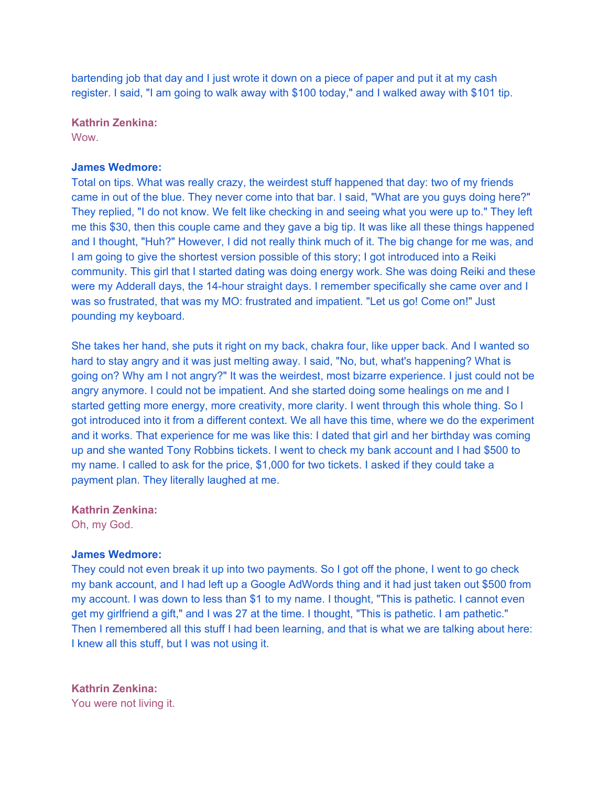bartending job that day and I just wrote it down on a piece of paper and put it at my cash register. I said, "I am going to walk away with \$100 today," and I walked away with \$101 tip.

**Kathrin Zenkina:** 

**Wow.** 

## **James Wedmore:**

Total on tips. What was really crazy, the weirdest stuff happened that day: two of my friends came in out of the blue. They never come into that bar. I said, "What are you guys doing here?" They replied, "I do not know. We felt like checking in and seeing what you were up to." They left me this \$30, then this couple came and they gave a big tip. It was like all these things happened and I thought, "Huh?" However, I did not really think much of it. The big change for me was, and I am going to give the shortest version possible of this story; I got introduced into a Reiki community. This girl that I started dating was doing energy work. She was doing Reiki and these were my Adderall days, the 14-hour straight days. I remember specifically she came over and I was so frustrated, that was my MO: frustrated and impatient. "Let us go! Come on!" Just pounding my keyboard.

She takes her hand, she puts it right on my back, chakra four, like upper back. And I wanted so hard to stay angry and it was just melting away. I said, "No, but, what's happening? What is going on? Why am I not angry?" It was the weirdest, most bizarre experience. I just could not be angry anymore. I could not be impatient. And she started doing some healings on me and I started getting more energy, more creativity, more clarity. I went through this whole thing. So I got introduced into it from a different context. We all have this time, where we do the experiment and it works. That experience for me was like this: I dated that girl and her birthday was coming up and she wanted Tony Robbins tickets. I went to check my bank account and I had \$500 to my name. I called to ask for the price, \$1,000 for two tickets. I asked if they could take a payment plan. They literally laughed at me.

**Kathrin Zenkina:**  Oh, my God.

## **James Wedmore:**

They could not even break it up into two payments. So I got off the phone, I went to go check my bank account, and I had left up a Google AdWords thing and it had just taken out \$500 from my account. I was down to less than \$1 to my name. I thought, "This is pathetic. I cannot even get my girlfriend a gift," and I was 27 at the time. I thought, "This is pathetic. I am pathetic." Then I remembered all this stuff I had been learning, and that is what we are talking about here: I knew all this stuff, but I was not using it.

## **Kathrin Zenkina:**

You were not living it.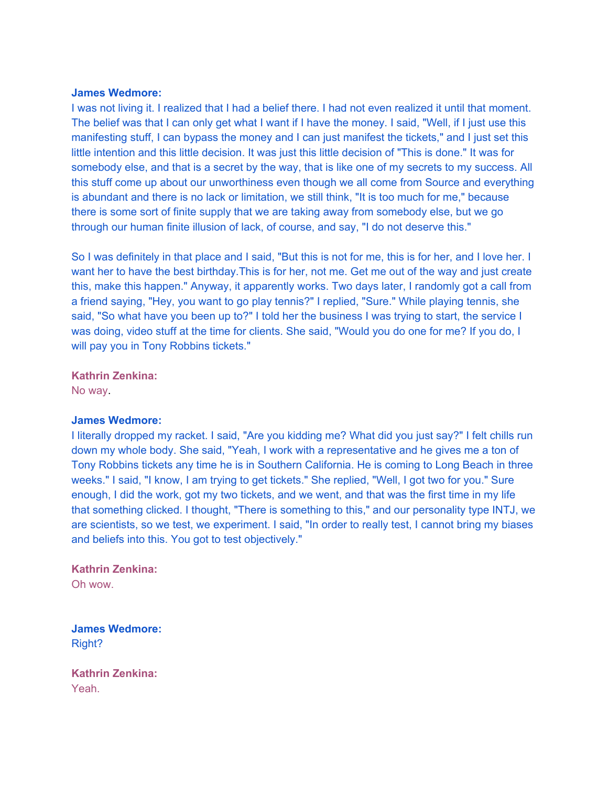I was not living it. I realized that I had a belief there. I had not even realized it until that moment. The belief was that I can only get what I want if I have the money. I said, "Well, if I just use this manifesting stuff, I can bypass the money and I can just manifest the tickets," and I just set this little intention and this little decision. It was just this little decision of "This is done." It was for somebody else, and that is a secret by the way, that is like one of my secrets to my success. All this stuff come up about our unworthiness even though we all come from Source and everything is abundant and there is no lack or limitation, we still think, "It is too much for me," because there is some sort of finite supply that we are taking away from somebody else, but we go through our human finite illusion of lack, of course, and say, "I do not deserve this."

So I was definitely in that place and I said, "But this is not for me, this is for her, and I love her. I want her to have the best birthday.This is for her, not me. Get me out of the way and just create this, make this happen." Anyway, it apparently works. Two days later, I randomly got a call from a friend saying, "Hey, you want to go play tennis?" I replied, "Sure." While playing tennis, she said, "So what have you been up to?" I told her the business I was trying to start, the service I was doing, video stuff at the time for clients. She said, "Would you do one for me? If you do, I will pay you in Tony Robbins tickets."

### **Kathrin Zenkina:**

No way.

#### **James Wedmore:**

I literally dropped my racket. I said, "Are you kidding me? What did you just say?" I felt chills run down my whole body. She said, "Yeah, I work with a representative and he gives me a ton of Tony Robbins tickets any time he is in Southern California. He is coming to Long Beach in three weeks." I said, "I know, I am trying to get tickets." She replied, "Well, I got two for you." Sure enough, I did the work, got my two tickets, and we went, and that was the first time in my life that something clicked. I thought, "There is something to this," and our personality type INTJ, we are scientists, so we test, we experiment. I said, "In order to really test, I cannot bring my biases and beliefs into this. You got to test objectively."

# **Kathrin Zenkina:**

Oh wow.

**James Wedmore:**  Right?

**Kathrin Zenkina:**  Yeah.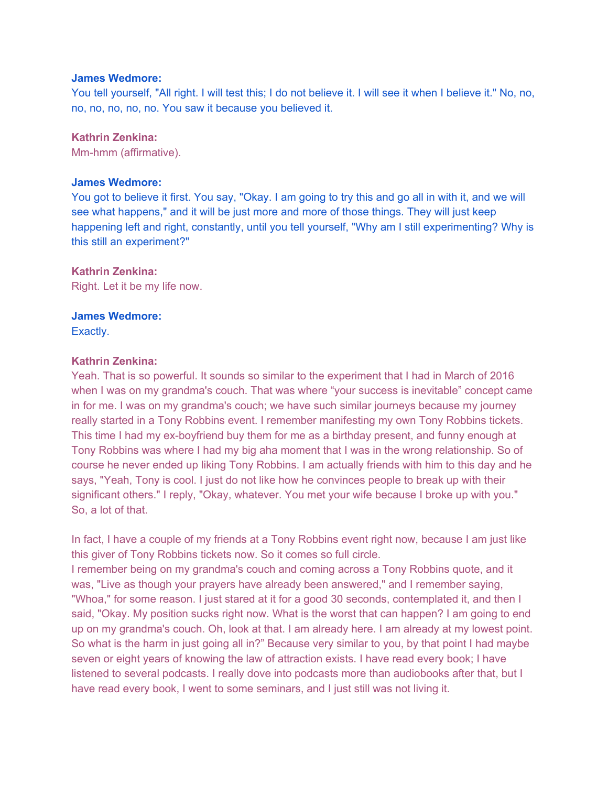You tell yourself, "All right. I will test this; I do not believe it. I will see it when I believe it." No, no, no, no, no, no, no. You saw it because you believed it.

## **Kathrin Zenkina:**

Mm-hmm (affirmative).

## **James Wedmore:**

You got to believe it first. You say, "Okay. I am going to try this and go all in with it, and we will see what happens," and it will be just more and more of those things. They will just keep happening left and right, constantly, until you tell yourself, "Why am I still experimenting? Why is this still an experiment?"

## **Kathrin Zenkina:**

Right. Let it be my life now.

# **James Wedmore:**

Exactly.

## **Kathrin Zenkina:**

Yeah. That is so powerful. It sounds so similar to the experiment that I had in March of 2016 when I was on my grandma's couch. That was where "your success is inevitable" concept came in for me. I was on my grandma's couch; we have such similar journeys because my journey really started in a Tony Robbins event. I remember manifesting my own Tony Robbins tickets. This time I had my ex-boyfriend buy them for me as a birthday present, and funny enough at Tony Robbins was where I had my big aha moment that I was in the wrong relationship. So of course he never ended up liking Tony Robbins. I am actually friends with him to this day and he says, "Yeah, Tony is cool. I just do not like how he convinces people to break up with their significant others." I reply, "Okay, whatever. You met your wife because I broke up with you." So, a lot of that.

In fact, I have a couple of my friends at a Tony Robbins event right now, because I am just like this giver of Tony Robbins tickets now. So it comes so full circle. I remember being on my grandma's couch and coming across a Tony Robbins quote, and it was, "Live as though your prayers have already been answered," and I remember saying, "Whoa," for some reason. I just stared at it for a good 30 seconds, contemplated it, and then I said, "Okay. My position sucks right now. What is the worst that can happen? I am going to end up on my grandma's couch. Oh, look at that. I am already here. I am already at my lowest point. So what is the harm in just going all in?" Because very similar to you, by that point I had maybe seven or eight years of knowing the law of attraction exists. I have read every book; I have listened to several podcasts. I really dove into podcasts more than audiobooks after that, but I have read every book, I went to some seminars, and I just still was not living it.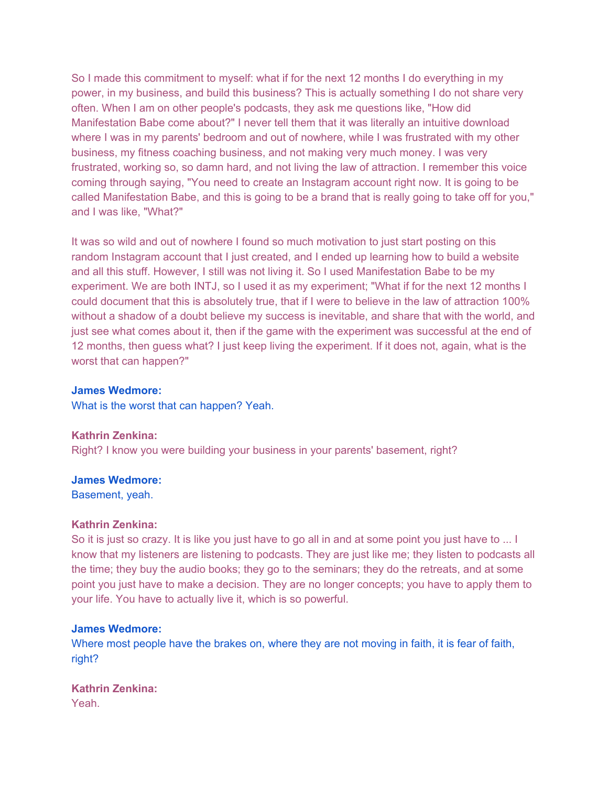So I made this commitment to myself: what if for the next 12 months I do everything in my power, in my business, and build this business? This is actually something I do not share very often. When I am on other people's podcasts, they ask me questions like, "How did Manifestation Babe come about?" I never tell them that it was literally an intuitive download where I was in my parents' bedroom and out of nowhere, while I was frustrated with my other business, my fitness coaching business, and not making very much money. I was very frustrated, working so, so damn hard, and not living the law of attraction. I remember this voice coming through saying, "You need to create an Instagram account right now. It is going to be called Manifestation Babe, and this is going to be a brand that is really going to take off for you," and I was like, "What?"

It was so wild and out of nowhere I found so much motivation to just start posting on this random Instagram account that I just created, and I ended up learning how to build a website and all this stuff. However, I still was not living it. So I used Manifestation Babe to be my experiment. We are both INTJ, so I used it as my experiment; "What if for the next 12 months I could document that this is absolutely true, that if I were to believe in the law of attraction 100% without a shadow of a doubt believe my success is inevitable, and share that with the world, and just see what comes about it, then if the game with the experiment was successful at the end of 12 months, then guess what? I just keep living the experiment. If it does not, again, what is the worst that can happen?"

#### **James Wedmore:**

What is the worst that can happen? Yeah.

**Kathrin Zenkina:**  Right? I know you were building your business in your parents' basement, right?

#### **James Wedmore:**

Basement, yeah.

#### **Kathrin Zenkina:**

So it is just so crazy. It is like you just have to go all in and at some point you just have to ... I know that my listeners are listening to podcasts. They are just like me; they listen to podcasts all the time; they buy the audio books; they go to the seminars; they do the retreats, and at some point you just have to make a decision. They are no longer concepts; you have to apply them to your life. You have to actually live it, which is so powerful.

#### **James Wedmore:**

Where most people have the brakes on, where they are not moving in faith, it is fear of faith, right?

**Kathrin Zenkina:**  Yeah.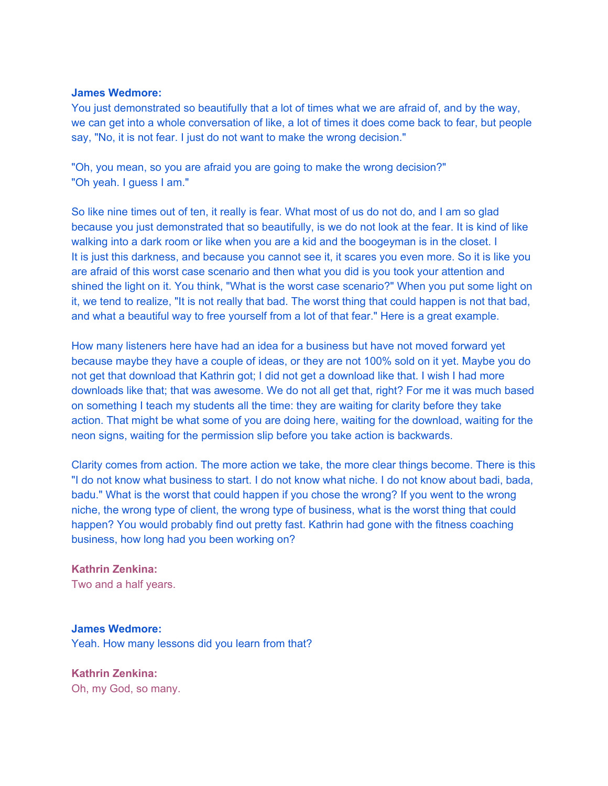You just demonstrated so beautifully that a lot of times what we are afraid of, and by the way, we can get into a whole conversation of like, a lot of times it does come back to fear, but people say, "No, it is not fear. I just do not want to make the wrong decision."

"Oh, you mean, so you are afraid you are going to make the wrong decision?" "Oh yeah. I guess I am."

So like nine times out of ten, it really is fear. What most of us do not do, and I am so glad because you just demonstrated that so beautifully, is we do not look at the fear. It is kind of like walking into a dark room or like when you are a kid and the boogeyman is in the closet. I It is just this darkness, and because you cannot see it, it scares you even more. So it is like you are afraid of this worst case scenario and then what you did is you took your attention and shined the light on it. You think, "What is the worst case scenario?" When you put some light on it, we tend to realize, "It is not really that bad. The worst thing that could happen is not that bad, and what a beautiful way to free yourself from a lot of that fear." Here is a great example.

How many listeners here have had an idea for a business but have not moved forward yet because maybe they have a couple of ideas, or they are not 100% sold on it yet. Maybe you do not get that download that Kathrin got; I did not get a download like that. I wish I had more downloads like that; that was awesome. We do not all get that, right? For me it was much based on something I teach my students all the time: they are waiting for clarity before they take action. That might be what some of you are doing here, waiting for the download, waiting for the neon signs, waiting for the permission slip before you take action is backwards.

Clarity comes from action. The more action we take, the more clear things become. There is this "I do not know what business to start. I do not know what niche. I do not know about badi, bada, badu." What is the worst that could happen if you chose the wrong? If you went to the wrong niche, the wrong type of client, the wrong type of business, what is the worst thing that could happen? You would probably find out pretty fast. Kathrin had gone with the fitness coaching business, how long had you been working on?

## **Kathrin Zenkina:**

Two and a half years.

#### **James Wedmore:**

Yeah. How many lessons did you learn from that?

**Kathrin Zenkina:**  Oh, my God, so many.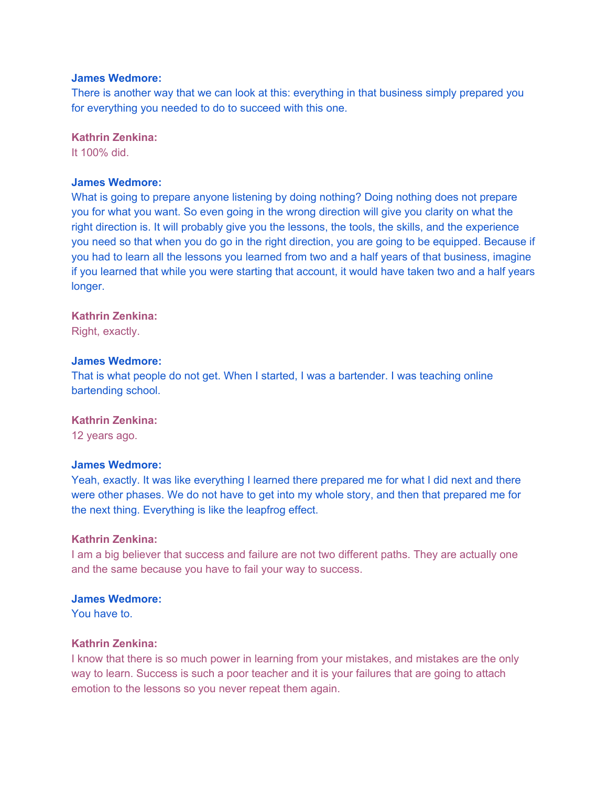There is another way that we can look at this: everything in that business simply prepared you for everything you needed to do to succeed with this one.

## **Kathrin Zenkina:**

It 100% did.

## **James Wedmore:**

What is going to prepare anyone listening by doing nothing? Doing nothing does not prepare you for what you want. So even going in the wrong direction will give you clarity on what the right direction is. It will probably give you the lessons, the tools, the skills, and the experience you need so that when you do go in the right direction, you are going to be equipped. Because if you had to learn all the lessons you learned from two and a half years of that business, imagine if you learned that while you were starting that account, it would have taken two and a half years longer.

#### **Kathrin Zenkina:**

Right, exactly.

## **James Wedmore:**

That is what people do not get. When I started, I was a bartender. I was teaching online bartending school.

## **Kathrin Zenkina:**

12 years ago.

## **James Wedmore:**

Yeah, exactly. It was like everything I learned there prepared me for what I did next and there were other phases. We do not have to get into my whole story, and then that prepared me for the next thing. Everything is like the leapfrog effect.

#### **Kathrin Zenkina:**

I am a big believer that success and failure are not two different paths. They are actually one and the same because you have to fail your way to success.

#### **James Wedmore:**

You have to.

#### **Kathrin Zenkina:**

I know that there is so much power in learning from your mistakes, and mistakes are the only way to learn. Success is such a poor teacher and it is your failures that are going to attach emotion to the lessons so you never repeat them again.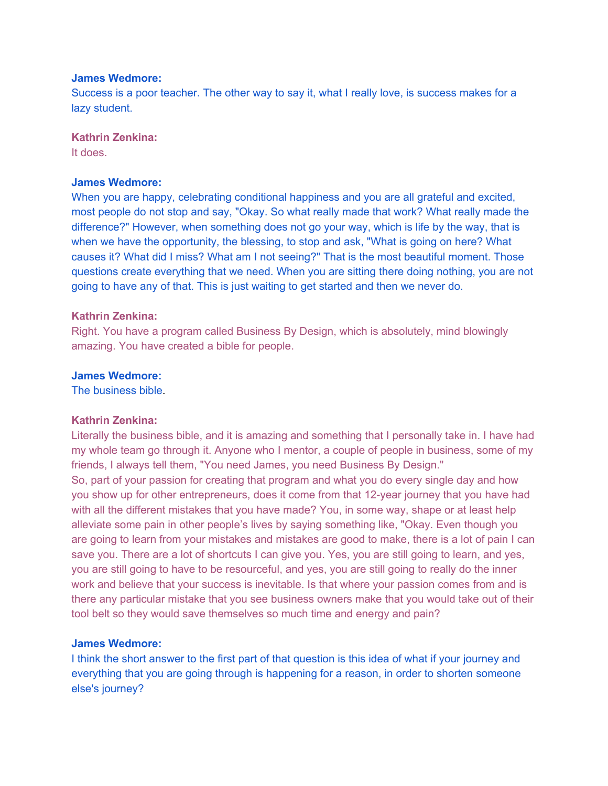Success is a poor teacher. The other way to say it, what I really love, is success makes for a lazy student.

## **Kathrin Zenkina:**

It does.

#### **James Wedmore:**

When you are happy, celebrating conditional happiness and you are all grateful and excited, most people do not stop and say, "Okay. So what really made that work? What really made the difference?" However, when something does not go your way, which is life by the way, that is when we have the opportunity, the blessing, to stop and ask, "What is going on here? What causes it? What did I miss? What am I not seeing?" That is the most beautiful moment. Those questions create everything that we need. When you are sitting there doing nothing, you are not going to have any of that. This is just waiting to get started and then we never do.

## **Kathrin Zenkina:**

Right. You have a program called Business By Design, which is absolutely, mind blowingly amazing. You have created a bible for people.

#### **James Wedmore:**

The business bible.

## **Kathrin Zenkina:**

Literally the business bible, and it is amazing and something that I personally take in. I have had my whole team go through it. Anyone who I mentor, a couple of people in business, some of my friends, I always tell them, "You need James, you need Business By Design." So, part of your passion for creating that program and what you do every single day and how you show up for other entrepreneurs, does it come from that 12-year journey that you have had with all the different mistakes that you have made? You, in some way, shape or at least help alleviate some pain in other people's lives by saying something like, "Okay. Even though you are going to learn from your mistakes and mistakes are good to make, there is a lot of pain I can save you. There are a lot of shortcuts I can give you. Yes, you are still going to learn, and yes, you are still going to have to be resourceful, and yes, you are still going to really do the inner work and believe that your success is inevitable. Is that where your passion comes from and is there any particular mistake that you see business owners make that you would take out of their tool belt so they would save themselves so much time and energy and pain?

#### **James Wedmore:**

I think the short answer to the first part of that question is this idea of what if your journey and everything that you are going through is happening for a reason, in order to shorten someone else's journey?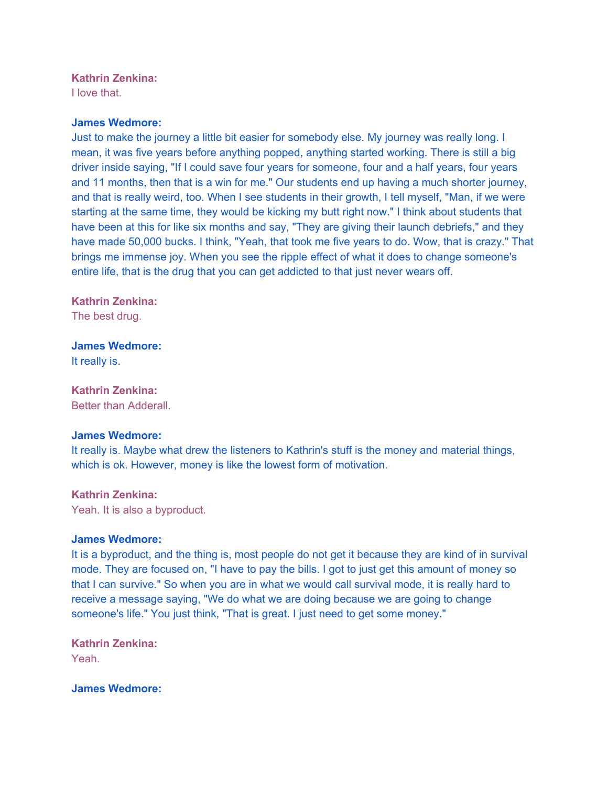## **Kathrin Zenkina:**

I love that.

#### **James Wedmore:**

Just to make the journey a little bit easier for somebody else. My journey was really long. I mean, it was five years before anything popped, anything started working. There is still a big driver inside saying, "If I could save four years for someone, four and a half years, four years and 11 months, then that is a win for me." Our students end up having a much shorter journey, and that is really weird, too. When I see students in their growth, I tell myself, "Man, if we were starting at the same time, they would be kicking my butt right now." I think about students that have been at this for like six months and say, "They are giving their launch debriefs," and they have made 50,000 bucks. I think, "Yeah, that took me five years to do. Wow, that is crazy." That brings me immense joy. When you see the ripple effect of what it does to change someone's entire life, that is the drug that you can get addicted to that just never wears off.

## **Kathrin Zenkina:**

The best drug.

# **James Wedmore:**

It really is.

## **Kathrin Zenkina:**

Better than Adderall.

#### **James Wedmore:**

It really is. Maybe what drew the listeners to Kathrin's stuff is the money and material things, which is ok. However, money is like the lowest form of motivation.

#### **Kathrin Zenkina:**

Yeah. It is also a byproduct.

#### **James Wedmore:**

It is a byproduct, and the thing is, most people do not get it because they are kind of in survival mode. They are focused on, "I have to pay the bills. I got to just get this amount of money so that I can survive." So when you are in what we would call survival mode, it is really hard to receive a message saying, "We do what we are doing because we are going to change someone's life." You just think, "That is great. I just need to get some money."

## **Kathrin Zenkina:**  Yeah.

## **James Wedmore:**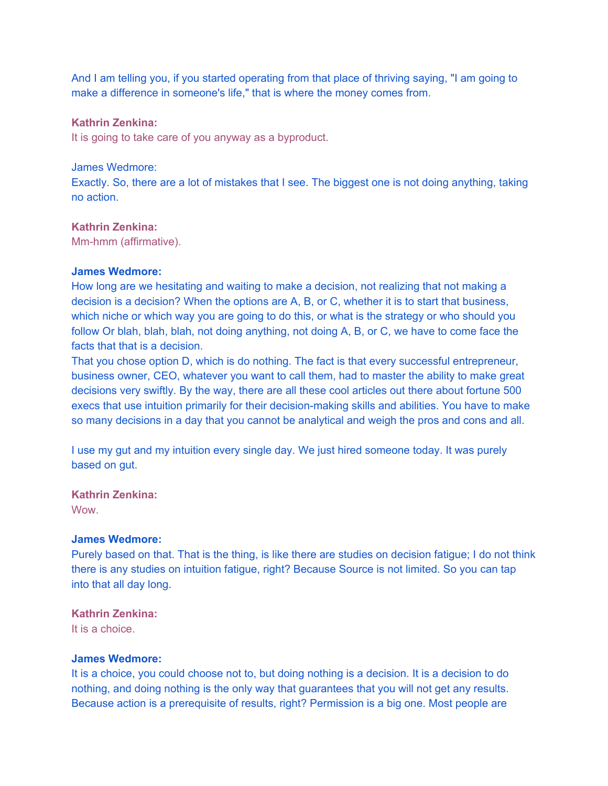And I am telling you, if you started operating from that place of thriving saying, "I am going to make a difference in someone's life," that is where the money comes from.

## **Kathrin Zenkina:**

It is going to take care of you anyway as a byproduct.

## James Wedmore:

Exactly. So, there are a lot of mistakes that I see. The biggest one is not doing anything, taking no action.

## **Kathrin Zenkina:**

Mm-hmm (affirmative).

## **James Wedmore:**

How long are we hesitating and waiting to make a decision, not realizing that not making a decision is a decision? When the options are A, B, or C, whether it is to start that business, which niche or which way you are going to do this, or what is the strategy or who should you follow Or blah, blah, blah, not doing anything, not doing A, B, or C, we have to come face the facts that that is a decision.

That you chose option D, which is do nothing. The fact is that every successful entrepreneur, business owner, CEO, whatever you want to call them, had to master the ability to make great decisions very swiftly. By the way, there are all these cool articles out there about fortune 500 execs that use intuition primarily for their decision-making skills and abilities. You have to make so many decisions in a day that you cannot be analytical and weigh the pros and cons and all.

I use my gut and my intuition every single day. We just hired someone today. It was purely based on gut.

#### **Kathrin Zenkina:**

**Wow.** 

## **James Wedmore:**

Purely based on that. That is the thing, is like there are studies on decision fatigue; I do not think there is any studies on intuition fatigue, right? Because Source is not limited. So you can tap into that all day long.

### **Kathrin Zenkina:**

It is a choice.

#### **James Wedmore:**

It is a choice, you could choose not to, but doing nothing is a decision. It is a decision to do nothing, and doing nothing is the only way that guarantees that you will not get any results. Because action is a prerequisite of results, right? Permission is a big one. Most people are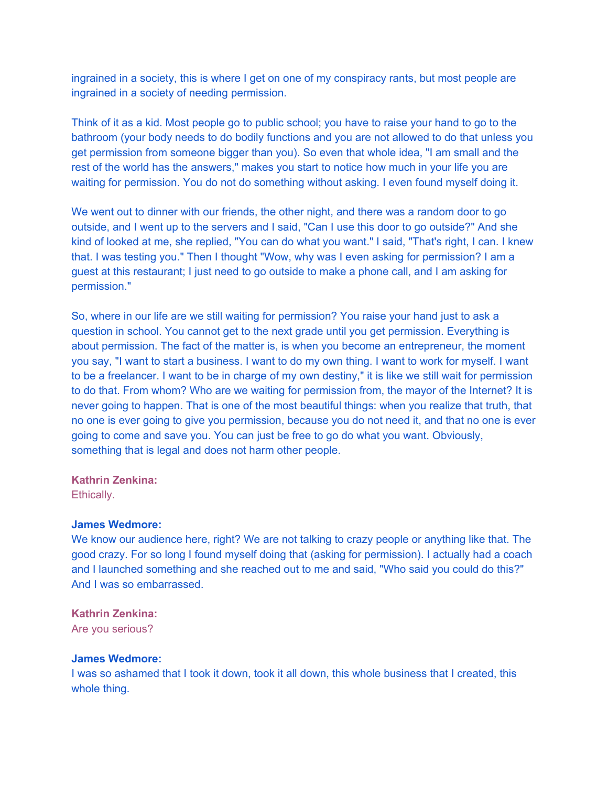ingrained in a society, this is where I get on one of my conspiracy rants, but most people are ingrained in a society of needing permission.

Think of it as a kid. Most people go to public school; you have to raise your hand to go to the bathroom (your body needs to do bodily functions and you are not allowed to do that unless you get permission from someone bigger than you). So even that whole idea, "I am small and the rest of the world has the answers," makes you start to notice how much in your life you are waiting for permission. You do not do something without asking. I even found myself doing it.

We went out to dinner with our friends, the other night, and there was a random door to go outside, and I went up to the servers and I said, "Can I use this door to go outside?" And she kind of looked at me, she replied, "You can do what you want." I said, "That's right, I can. I knew that. I was testing you." Then I thought "Wow, why was I even asking for permission? I am a guest at this restaurant; I just need to go outside to make a phone call, and I am asking for permission."

So, where in our life are we still waiting for permission? You raise your hand just to ask a question in school. You cannot get to the next grade until you get permission. Everything is about permission. The fact of the matter is, is when you become an entrepreneur, the moment you say, "I want to start a business. I want to do my own thing. I want to work for myself. I want to be a freelancer. I want to be in charge of my own destiny," it is like we still wait for permission to do that. From whom? Who are we waiting for permission from, the mayor of the Internet? It is never going to happen. That is one of the most beautiful things: when you realize that truth, that no one is ever going to give you permission, because you do not need it, and that no one is ever going to come and save you. You can just be free to go do what you want. Obviously, something that is legal and does not harm other people.

#### **Kathrin Zenkina:**

Ethically.

#### **James Wedmore:**

We know our audience here, right? We are not talking to crazy people or anything like that. The good crazy. For so long I found myself doing that (asking for permission). I actually had a coach and I launched something and she reached out to me and said, "Who said you could do this?" And I was so embarrassed.

## **Kathrin Zenkina:**

Are you serious?

#### **James Wedmore:**

I was so ashamed that I took it down, took it all down, this whole business that I created, this whole thing.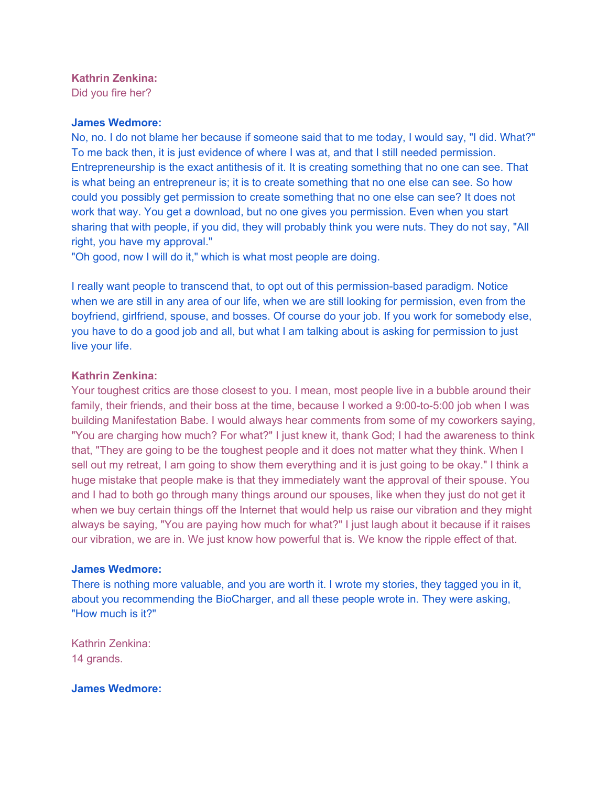## **Kathrin Zenkina:**

Did you fire her?

### **James Wedmore:**

No, no. I do not blame her because if someone said that to me today, I would say, "I did. What?" To me back then, it is just evidence of where I was at, and that I still needed permission. Entrepreneurship is the exact antithesis of it. It is creating something that no one can see. That is what being an entrepreneur is; it is to create something that no one else can see. So how could you possibly get permission to create something that no one else can see? It does not work that way. You get a download, but no one gives you permission. Even when you start sharing that with people, if you did, they will probably think you were nuts. They do not say, "All right, you have my approval."

"Oh good, now I will do it," which is what most people are doing.

I really want people to transcend that, to opt out of this permission-based paradigm. Notice when we are still in any area of our life, when we are still looking for permission, even from the boyfriend, girlfriend, spouse, and bosses. Of course do your job. If you work for somebody else, you have to do a good job and all, but what I am talking about is asking for permission to just live your life.

## **Kathrin Zenkina:**

Your toughest critics are those closest to you. I mean, most people live in a bubble around their family, their friends, and their boss at the time, because I worked a 9:00-to-5:00 job when I was building Manifestation Babe. I would always hear comments from some of my coworkers saying, "You are charging how much? For what?" I just knew it, thank God; I had the awareness to think that, "They are going to be the toughest people and it does not matter what they think. When I sell out my retreat, I am going to show them everything and it is just going to be okay." I think a huge mistake that people make is that they immediately want the approval of their spouse. You and I had to both go through many things around our spouses, like when they just do not get it when we buy certain things off the Internet that would help us raise our vibration and they might always be saying, "You are paying how much for what?" I just laugh about it because if it raises our vibration, we are in. We just know how powerful that is. We know the ripple effect of that.

#### **James Wedmore:**

There is nothing more valuable, and you are worth it. I wrote my stories, they tagged you in it, about you recommending the BioCharger, and all these people wrote in. They were asking, "How much is it?"

Kathrin Zenkina: 14 grands.

**James Wedmore:**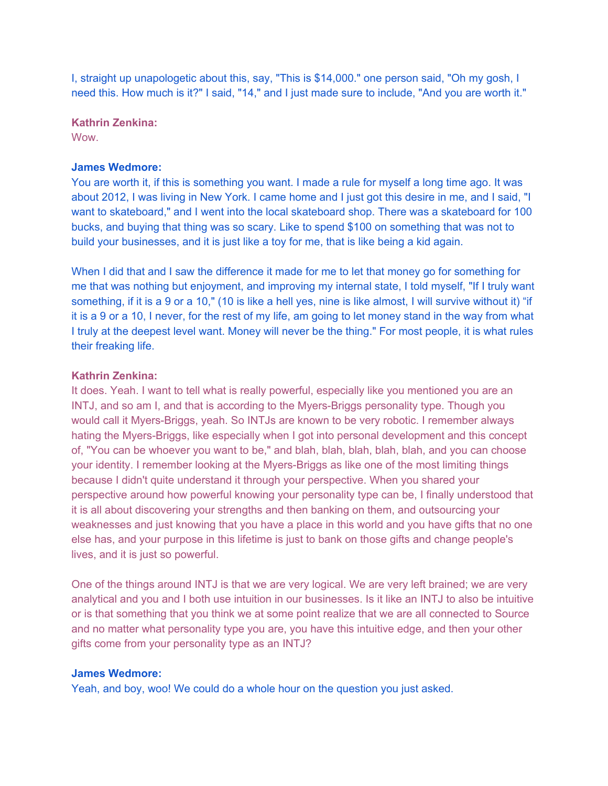I, straight up unapologetic about this, say, "This is \$14,000." one person said, "Oh my gosh, I need this. How much is it?" I said, "14," and I just made sure to include, "And you are worth it."

**Kathrin Zenkina:** 

**Wow.** 

## **James Wedmore:**

You are worth it, if this is something you want. I made a rule for myself a long time ago. It was about 2012, I was living in New York. I came home and I just got this desire in me, and I said, "I want to skateboard," and I went into the local skateboard shop. There was a skateboard for 100 bucks, and buying that thing was so scary. Like to spend \$100 on something that was not to build your businesses, and it is just like a toy for me, that is like being a kid again.

When I did that and I saw the difference it made for me to let that money go for something for me that was nothing but enjoyment, and improving my internal state, I told myself, "If I truly want something, if it is a 9 or a 10," (10 is like a hell yes, nine is like almost, I will survive without it) "if it is a 9 or a 10, I never, for the rest of my life, am going to let money stand in the way from what I truly at the deepest level want. Money will never be the thing." For most people, it is what rules their freaking life.

## **Kathrin Zenkina:**

It does. Yeah. I want to tell what is really powerful, especially like you mentioned you are an INTJ, and so am I, and that is according to the Myers-Briggs personality type. Though you would call it Myers-Briggs, yeah. So INTJs are known to be very robotic. I remember always hating the Myers-Briggs, like especially when I got into personal development and this concept of, "You can be whoever you want to be," and blah, blah, blah, blah, blah, and you can choose your identity. I remember looking at the Myers-Briggs as like one of the most limiting things because I didn't quite understand it through your perspective. When you shared your perspective around how powerful knowing your personality type can be, I finally understood that it is all about discovering your strengths and then banking on them, and outsourcing your weaknesses and just knowing that you have a place in this world and you have gifts that no one else has, and your purpose in this lifetime is just to bank on those gifts and change people's lives, and it is just so powerful.

One of the things around INTJ is that we are very logical. We are very left brained; we are very analytical and you and I both use intuition in our businesses. Is it like an INTJ to also be intuitive or is that something that you think we at some point realize that we are all connected to Source and no matter what personality type you are, you have this intuitive edge, and then your other gifts come from your personality type as an INTJ?

## **James Wedmore:**

Yeah, and boy, woo! We could do a whole hour on the question you just asked.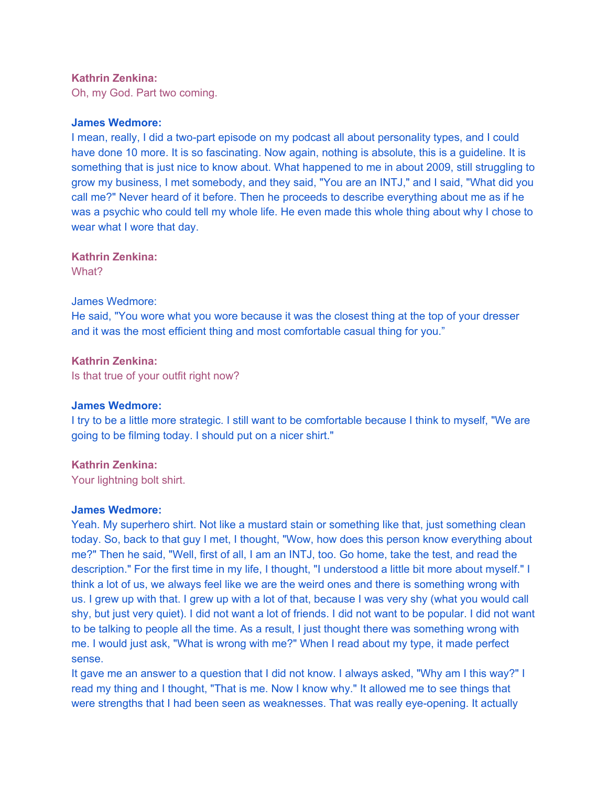## **Kathrin Zenkina:**

Oh, my God. Part two coming.

#### **James Wedmore:**

I mean, really, I did a two-part episode on my podcast all about personality types, and I could have done 10 more. It is so fascinating. Now again, nothing is absolute, this is a guideline. It is something that is just nice to know about. What happened to me in about 2009, still struggling to grow my business, I met somebody, and they said, "You are an INTJ," and I said, "What did you call me?" Never heard of it before. Then he proceeds to describe everything about me as if he was a psychic who could tell my whole life. He even made this whole thing about why I chose to wear what I wore that day.

**Kathrin Zenkina:**  What?

#### James Wedmore:

He said, "You wore what you wore because it was the closest thing at the top of your dresser and it was the most efficient thing and most comfortable casual thing for you."

## **Kathrin Zenkina:**

Is that true of your outfit right now?

## **James Wedmore:**

I try to be a little more strategic. I still want to be comfortable because I think to myself, "We are going to be filming today. I should put on a nicer shirt."

## **Kathrin Zenkina:**

Your lightning bolt shirt.

## **James Wedmore:**

Yeah. My superhero shirt. Not like a mustard stain or something like that, just something clean today. So, back to that guy I met, I thought, "Wow, how does this person know everything about me?" Then he said, "Well, first of all, I am an INTJ, too. Go home, take the test, and read the description." For the first time in my life, I thought, "I understood a little bit more about myself." I think a lot of us, we always feel like we are the weird ones and there is something wrong with us. I grew up with that. I grew up with a lot of that, because I was very shy (what you would call shy, but just very quiet). I did not want a lot of friends. I did not want to be popular. I did not want to be talking to people all the time. As a result, I just thought there was something wrong with me. I would just ask, "What is wrong with me?" When I read about my type, it made perfect sense.

It gave me an answer to a question that I did not know. I always asked, "Why am I this way?" I read my thing and I thought, "That is me. Now I know why." It allowed me to see things that were strengths that I had been seen as weaknesses. That was really eye-opening. It actually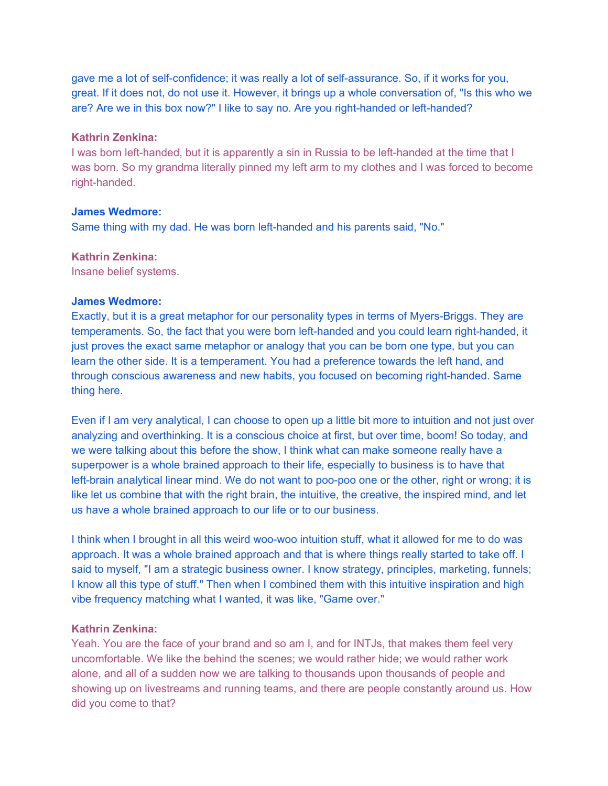gave me a lot of self-confidence; it was really a lot of self-assurance. So, if it works for you, great. If it does not, do not use it. However, it brings up a whole conversation of, "Is this who we are? Are we in this box now?" I like to say no. Are you right-handed or left-handed?

## **Kathrin Zenkina:**

I was born left-handed, but it is apparently a sin in Russia to be left-handed at the time that I was born. So my grandma literally pinned my left arm to my clothes and I was forced to become right-handed.

## **James Wedmore:**

Same thing with my dad. He was born left-handed and his parents said, "No."

## **Kathrin Zenkina:**

Insane belief systems.

## **James Wedmore:**

Exactly, but it is a great metaphor for our personality types in terms of Myers-Briggs. They are temperaments. So, the fact that you were born left-handed and you could learn right-handed, it just proves the exact same metaphor or analogy that you can be born one type, but you can learn the other side. It is a temperament. You had a preference towards the left hand, and through conscious awareness and new habits, you focused on becoming right-handed. Same thing here.

Even if I am very analytical, I can choose to open up a little bit more to intuition and not just over analyzing and overthinking. It is a conscious choice at first, but over time, boom! So today, and we were talking about this before the show, I think what can make someone really have a superpower is a whole brained approach to their life, especially to business is to have that left-brain analytical linear mind. We do not want to poo-poo one or the other, right or wrong; it is like let us combine that with the right brain, the intuitive, the creative, the inspired mind, and let us have a whole brained approach to our life or to our business.

I think when I brought in all this weird woo-woo intuition stuff, what it allowed for me to do was approach. It was a whole brained approach and that is where things really started to take off. I said to myself, "I am a strategic business owner. I know strategy, principles, marketing, funnels; I know all this type of stuff." Then when I combined them with this intuitive inspiration and high vibe frequency matching what I wanted, it was like, "Game over."

## **Kathrin Zenkina:**

Yeah. You are the face of your brand and so am I, and for INTJs, that makes them feel very uncomfortable. We like the behind the scenes; we would rather hide; we would rather work alone, and all of a sudden now we are talking to thousands upon thousands of people and showing up on livestreams and running teams, and there are people constantly around us. How did you come to that?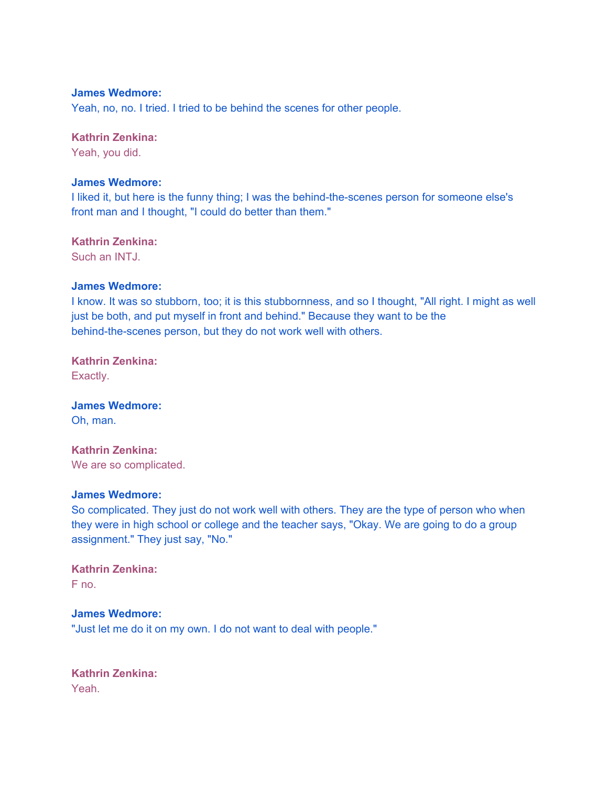Yeah, no, no. I tried. I tried to be behind the scenes for other people.

## **Kathrin Zenkina:**

Yeah, you did.

## **James Wedmore:**

I liked it, but here is the funny thing; I was the behind-the-scenes person for someone else's front man and I thought, "I could do better than them."

## **Kathrin Zenkina:**

Such an INTJ.

## **James Wedmore:**

I know. It was so stubborn, too; it is this stubbornness, and so I thought, "All right. I might as well just be both, and put myself in front and behind." Because they want to be the behind-the-scenes person, but they do not work well with others.

# **Kathrin Zenkina:**

Exactly.

# **James Wedmore:**

Oh, man.

## **Kathrin Zenkina:**  We are so complicated.

#### **James Wedmore:**

So complicated. They just do not work well with others. They are the type of person who when they were in high school or college and the teacher says, "Okay. We are going to do a group assignment." They just say, "No."

#### **Kathrin Zenkina:**  F no.

## **James Wedmore:**

"Just let me do it on my own. I do not want to deal with people."

**Kathrin Zenkina:**  Yeah.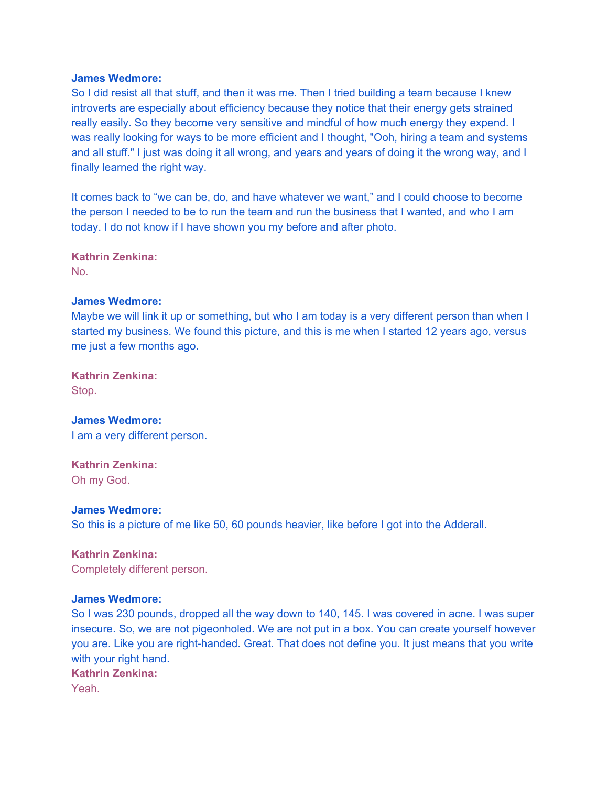So I did resist all that stuff, and then it was me. Then I tried building a team because I knew introverts are especially about efficiency because they notice that their energy gets strained really easily. So they become very sensitive and mindful of how much energy they expend. I was really looking for ways to be more efficient and I thought, "Ooh, hiring a team and systems and all stuff." I just was doing it all wrong, and years and years of doing it the wrong way, and I finally learned the right way.

It comes back to "we can be, do, and have whatever we want," and I could choose to become the person I needed to be to run the team and run the business that I wanted, and who I am today. I do not know if I have shown you my before and after photo.

**Kathrin Zenkina:**  No.

#### **James Wedmore:**

Maybe we will link it up or something, but who I am today is a very different person than when I started my business. We found this picture, and this is me when I started 12 years ago, versus me just a few months ago.

**Kathrin Zenkina:**  Stop.

**James Wedmore:**  I am a very different person.

**Kathrin Zenkina:**  Oh my God.

**James Wedmore:**  So this is a picture of me like 50, 60 pounds heavier, like before I got into the Adderall.

**Kathrin Zenkina:**  Completely different person.

## **James Wedmore:**

So I was 230 pounds, dropped all the way down to 140, 145. I was covered in acne. I was super insecure. So, we are not pigeonholed. We are not put in a box. You can create yourself however you are. Like you are right-handed. Great. That does not define you. It just means that you write with your right hand.

**Kathrin Zenkina:** 

Yeah.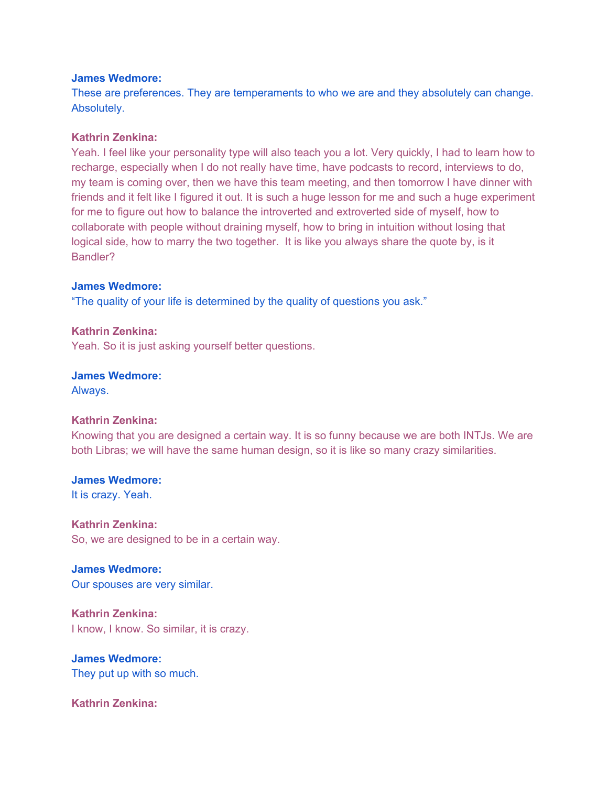These are preferences. They are temperaments to who we are and they absolutely can change. Absolutely.

## **Kathrin Zenkina:**

Yeah. I feel like your personality type will also teach you a lot. Very quickly, I had to learn how to recharge, especially when I do not really have time, have podcasts to record, interviews to do, my team is coming over, then we have this team meeting, and then tomorrow I have dinner with friends and it felt like I figured it out. It is such a huge lesson for me and such a huge experiment for me to figure out how to balance the introverted and extroverted side of myself, how to collaborate with people without draining myself, how to bring in intuition without losing that logical side, how to marry the two together. It is like you always share the quote by, is it Bandler?

#### **James Wedmore:**

"The quality of your life is determined by the quality of questions you ask."

**Kathrin Zenkina:** 

Yeah. So it is just asking yourself better questions.

**James Wedmore:** 

Always.

## **Kathrin Zenkina:**

Knowing that you are designed a certain way. It is so funny because we are both INTJs. We are both Libras; we will have the same human design, so it is like so many crazy similarities.

**James Wedmore:**  It is crazy. Yeah.

**Kathrin Zenkina:**  So, we are designed to be in a certain way.

**James Wedmore:**  Our spouses are very similar.

**Kathrin Zenkina:**  I know, I know. So similar, it is crazy.

**James Wedmore:**  They put up with so much.

**Kathrin Zenkina:**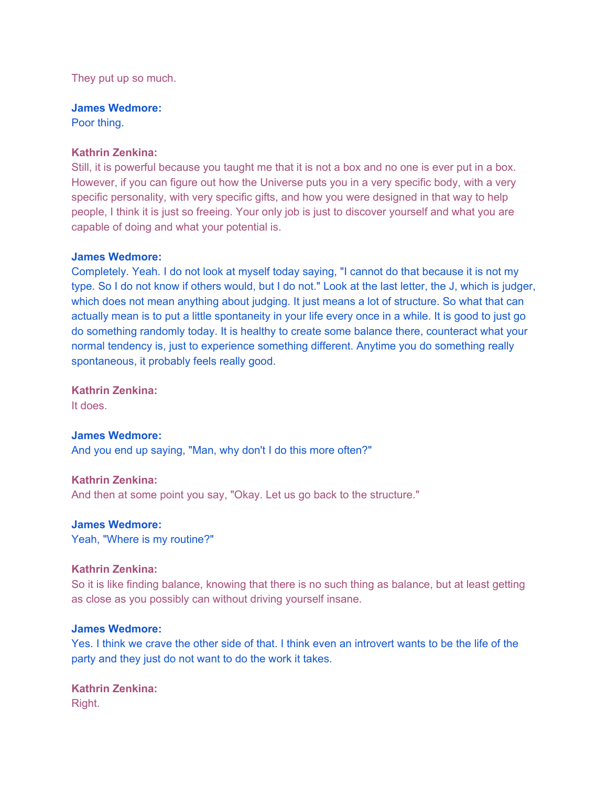They put up so much.

**James Wedmore:** 

Poor thing.

## **Kathrin Zenkina:**

Still, it is powerful because you taught me that it is not a box and no one is ever put in a box. However, if you can figure out how the Universe puts you in a very specific body, with a very specific personality, with very specific gifts, and how you were designed in that way to help people, I think it is just so freeing. Your only job is just to discover yourself and what you are capable of doing and what your potential is.

## **James Wedmore:**

Completely. Yeah. I do not look at myself today saying, "I cannot do that because it is not my type. So I do not know if others would, but I do not." Look at the last letter, the J, which is judger, which does not mean anything about judging. It just means a lot of structure. So what that can actually mean is to put a little spontaneity in your life every once in a while. It is good to just go do something randomly today. It is healthy to create some balance there, counteract what your normal tendency is, just to experience something different. Anytime you do something really spontaneous, it probably feels really good.

**Kathrin Zenkina:**  It does.

**James Wedmore:**  And you end up saying, "Man, why don't I do this more often?"

**Kathrin Zenkina:**  And then at some point you say, "Okay. Let us go back to the structure."

**James Wedmore:** 

Yeah, "Where is my routine?"

#### **Kathrin Zenkina:**

So it is like finding balance, knowing that there is no such thing as balance, but at least getting as close as you possibly can without driving yourself insane.

#### **James Wedmore:**

Yes. I think we crave the other side of that. I think even an introvert wants to be the life of the party and they just do not want to do the work it takes.

**Kathrin Zenkina:**  Right.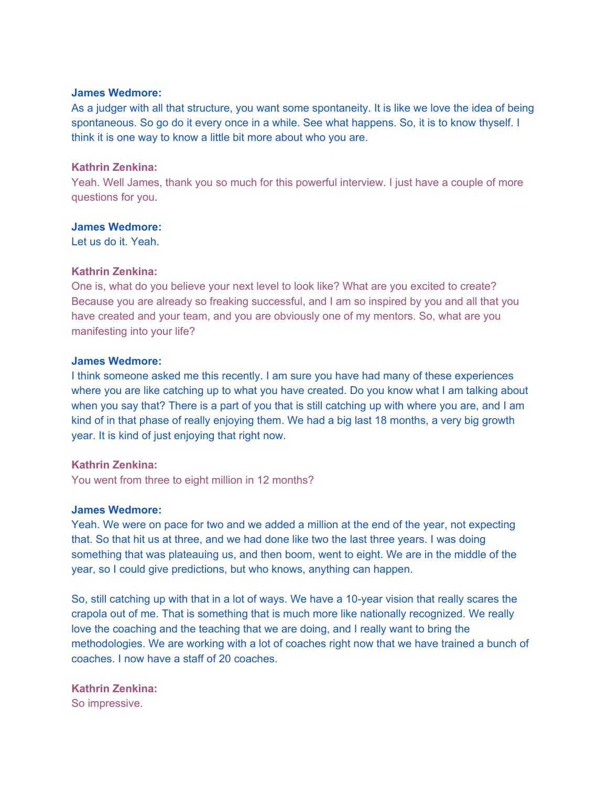As a judger with all that structure, you want some spontaneity. It is like we love the idea of being spontaneous. So go do it every once in a while. See what happens. So, it is to know thyself. I think it is one way to know a little bit more about who you are.

#### **Kathrin Zenkina:**

Yeah. Well James, thank you so much for this powerful interview. I just have a couple of more questions for you.

#### **James Wedmore:**

Let us do it. Yeah.

#### **Kathrin Zenkina:**

One is, what do you believe your next level to look like? What are you excited to create? Because you are already so freaking successful, and I am so inspired by you and all that you have created and your team, and you are obviously one of my mentors. So, what are you manifesting into your life?

## **James Wedmore:**

I think someone asked me this recently. I am sure you have had many of these experiences where you are like catching up to what you have created. Do you know what I am talking about when you say that? There is a part of you that is still catching up with where you are, and I am kind of in that phase of really enjoying them. We had a big last 18 months, a very big growth year. It is kind of just enjoying that right now.

#### **Kathrin Zenkina:**

You went from three to eight million in 12 months?

## **James Wedmore:**

Yeah. We were on pace for two and we added a million at the end of the year, not expecting that. So that hit us at three, and we had done like two the last three years. I was doing something that was plateauing us, and then boom, went to eight. We are in the middle of the year, so I could give predictions, but who knows, anything can happen.

So, still catching up with that in a lot of ways. We have a 10-year vision that really scares the crapola out of me. That is something that is much more like nationally recognized. We really love the coaching and the teaching that we are doing, and I really want to bring the methodologies. We are working with a lot of coaches right now that we have trained a bunch of coaches. I now have a staff of 20 coaches.

## **Kathrin Zenkina:**

So impressive.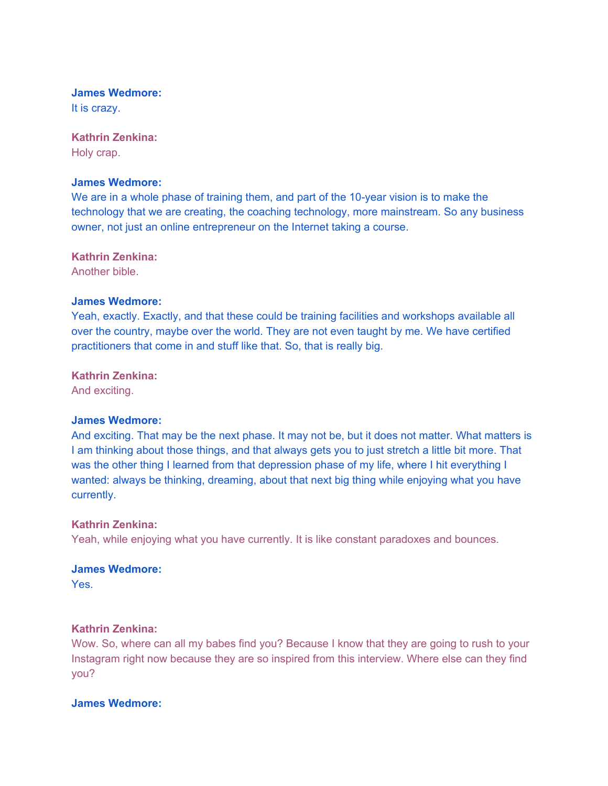It is crazy.

## **Kathrin Zenkina:**

Holy crap.

#### **James Wedmore:**

We are in a whole phase of training them, and part of the 10-year vision is to make the technology that we are creating, the coaching technology, more mainstream. So any business owner, not just an online entrepreneur on the Internet taking a course.

**Kathrin Zenkina:** 

Another bible.

#### **James Wedmore:**

Yeah, exactly. Exactly, and that these could be training facilities and workshops available all over the country, maybe over the world. They are not even taught by me. We have certified practitioners that come in and stuff like that. So, that is really big.

#### **Kathrin Zenkina:**

And exciting.

## **James Wedmore:**

And exciting. That may be the next phase. It may not be, but it does not matter. What matters is I am thinking about those things, and that always gets you to just stretch a little bit more. That was the other thing I learned from that depression phase of my life, where I hit everything I wanted: always be thinking, dreaming, about that next big thing while enjoying what you have currently.

#### **Kathrin Zenkina:**

Yeah, while enjoying what you have currently. It is like constant paradoxes and bounces.

#### **James Wedmore:**

Yes.

#### **Kathrin Zenkina:**

Wow. So, where can all my babes find you? Because I know that they are going to rush to your Instagram right now because they are so inspired from this interview. Where else can they find you?

#### **James Wedmore:**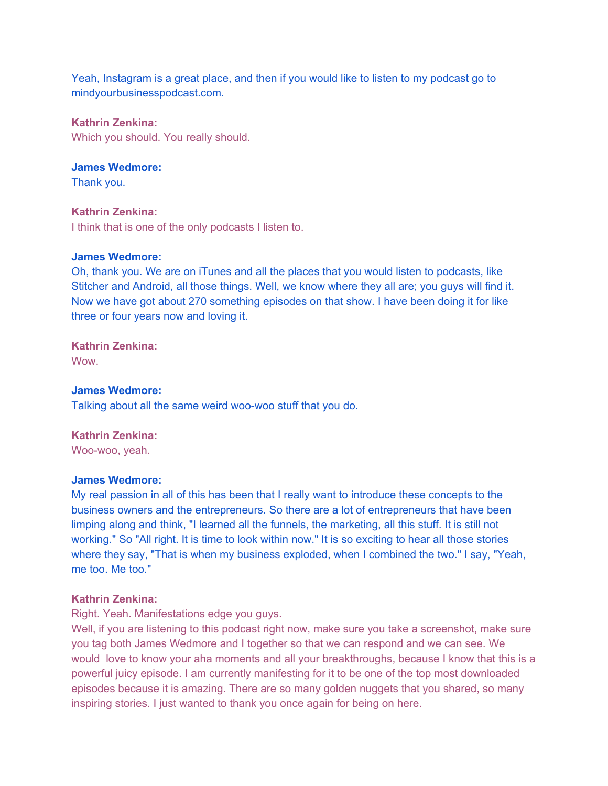Yeah, Instagram is a great place, and then if you would like to listen to my podcast go to mindyourbusinesspodcast.com.

## **Kathrin Zenkina:**

Which you should. You really should.

# **James Wedmore:**

Thank you.

## **Kathrin Zenkina:**

I think that is one of the only podcasts I listen to.

## **James Wedmore:**

Oh, thank you. We are on iTunes and all the places that you would listen to podcasts, like Stitcher and Android, all those things. Well, we know where they all are; you guys will find it. Now we have got about 270 something episodes on that show. I have been doing it for like three or four years now and loving it.

## **Kathrin Zenkina:**  Wow.

**James Wedmore:**  Talking about all the same weird woo-woo stuff that you do.

## **Kathrin Zenkina:**

Woo-woo, yeah.

## **James Wedmore:**

My real passion in all of this has been that I really want to introduce these concepts to the business owners and the entrepreneurs. So there are a lot of entrepreneurs that have been limping along and think, "I learned all the funnels, the marketing, all this stuff. It is still not working." So "All right. It is time to look within now." It is so exciting to hear all those stories where they say, "That is when my business exploded, when I combined the two." I say, "Yeah, me too. Me too."

## **Kathrin Zenkina:**

Right. Yeah. Manifestations edge you guys.

Well, if you are listening to this podcast right now, make sure you take a screenshot, make sure you tag both James Wedmore and I together so that we can respond and we can see. We would love to know your aha moments and all your breakthroughs, because I know that this is a powerful juicy episode. I am currently manifesting for it to be one of the top most downloaded episodes because it is amazing. There are so many golden nuggets that you shared, so many inspiring stories. I just wanted to thank you once again for being on here.